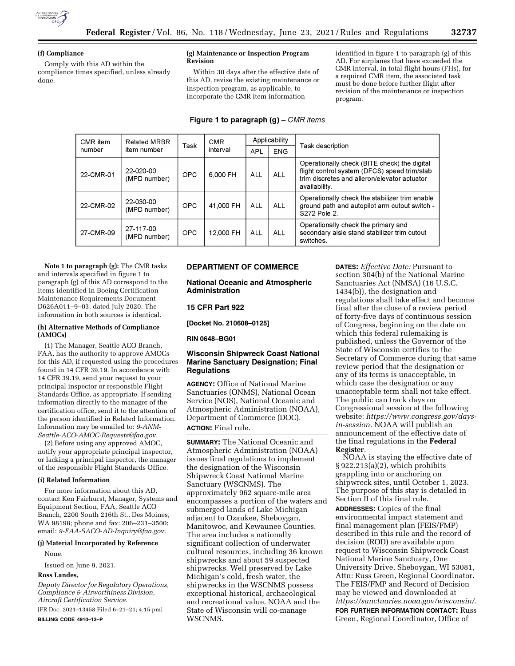

## **(f) Compliance**

Comply with this AD within the compliance times specified, unless already done.

## **(g) Maintenance or Inspection Program Revision**

Within 30 days after the effective date of this AD, revise the existing maintenance or inspection program, as applicable, to incorporate the CMR item information

identified in figure 1 to paragraph (g) of this AD. For airplanes that have exceeded the CMR interval, in total flight hours (FHs), for a required CMR item, the associated task must be done before further flight after revision of the maintenance or inspection program.

# **Figure 1 to paragraph (g) – CMR items**

| CMR item  | <b>Related MRBR</b>       | Task       | <b>CMR</b> | Applicability |            |                                                                                                                                                               |
|-----------|---------------------------|------------|------------|---------------|------------|---------------------------------------------------------------------------------------------------------------------------------------------------------------|
| number    | item number               |            | interval   | APL           | <b>ENG</b> | <b>Task description</b>                                                                                                                                       |
| 22-CMR-01 | 22-020-00<br>(MPD number) | <b>OPC</b> | 6.000 FH   | ALL           | ALL        | Operationally check (BITE check) the digital<br>flight control system (DFCS) speed trim/stab<br>trim discretes and aileron/elevator actuator<br>availability. |
| 22-CMR-02 | 22-030-00<br>(MPD number) | <b>OPC</b> | 41.000 FH  | ALL           | <b>ALL</b> | Operationally check the stabilizer trim enable<br>ground path and autopilot arm cutout switch -<br>S272 Pole 2.                                               |
| 27-CMR-09 | 27-117-00<br>(MPD number) | <b>OPC</b> | 12.000 FH  | ALL           | <b>ALL</b> | Operationally check the primary and<br>secondary aisle stand stabilizer trim cutout<br>switches.                                                              |

**Note 1 to paragraph (g):** The CMR tasks and intervals specified in figure 1 to paragraph (g) of this AD correspond to the items identified in Boeing Certification Maintenance Requirements Document D626A011–9–03, dated July 2020. The information in both sources is identical.

## **(h) Alternative Methods of Compliance (AMOCs)**

(1) The Manager, Seattle ACO Branch, FAA, has the authority to approve AMOCs for this AD, if requested using the procedures found in 14 CFR 39.19. In accordance with 14 CFR 39.19, send your request to your principal inspector or responsible Flight Standards Office, as appropriate. If sending information directly to the manager of the certification office, send it to the attention of the person identified in Related Information. Information may be emailed to: *[9-ANM-](mailto:9-ANM-Seattle-ACO-AMOC-Requests@faa.gov)[Seattle-ACO-AMOC-Requests@faa.gov.](mailto:9-ANM-Seattle-ACO-AMOC-Requests@faa.gov)* 

(2) Before using any approved AMOC, notify your appropriate principal inspector, or lacking a principal inspector, the manager of the responsible Flight Standards Office.

## **(i) Related Information**

For more information about this AD, contact Ken Fairhurst, Manager, Systems and Equipment Section, FAA, Seattle ACO Branch, 2200 South 216th St., Des Moines, WA 98198; phone and fax: 206–231–3500; email: *[9-FAA-SACO-AD-Inquiry@faa.gov.](mailto:9-FAA-SACO-AD-Inquiry@faa.gov)* 

## **(j) Material Incorporated by Reference**

None.

Issued on June 9, 2021.

## **Ross Landes,**

*Deputy Director for Regulatory Operations, Compliance & Airworthiness Division, Aircraft Certification Service.* 

[FR Doc. 2021–13458 Filed 6–21–21; 4:15 pm] **BILLING CODE 4910–13–P** 

# **DEPARTMENT OF COMMERCE**

**National Oceanic and Atmospheric Administration** 

# **15 CFR Part 922**

**[Docket No. 210608–0125]** 

**RIN 0648–BG01** 

# **Wisconsin Shipwreck Coast National Marine Sanctuary Designation; Final Regulations**

**AGENCY:** Office of National Marine Sanctuaries (ONMS), National Ocean Service (NOS), National Oceanic and Atmospheric Administration (NOAA), Department of Commerce (DOC). **ACTION:** Final rule.

**SUMMARY:** The National Oceanic and Atmospheric Administration (NOAA) issues final regulations to implement the designation of the Wisconsin Shipwreck Coast National Marine Sanctuary (WSCNMS). The approximately 962 square-mile area encompasses a portion of the waters and submerged lands of Lake Michigan adjacent to Ozaukee, Sheboygan, Manitowoc, and Kewaunee Counties. The area includes a nationally significant collection of underwater cultural resources, including 36 known shipwrecks and about 59 suspected shipwrecks. Well preserved by Lake Michigan's cold, fresh water, the shipwrecks in the WSCNMS possess exceptional historical, archaeological and recreational value. NOAA and the State of Wisconsin will co-manage WSCNMS.

**DATES:** *Effective Date:* Pursuant to section 304(b) of the National Marine Sanctuaries Act (NMSA) (16 U.S.C. 1434(b)), the designation and regulations shall take effect and become final after the close of a review period of forty-five days of continuous session of Congress, beginning on the date on which this federal rulemaking is published, unless the Governor of the State of Wisconsin certifies to the Secretary of Commerce during that same review period that the designation or any of its terms is unacceptable, in which case the designation or any unacceptable term shall not take effect. The public can track days on Congressional session at the following website: *[https://www.congress.gov/days](https://www.congress.gov/days-in-session)[in-session.](https://www.congress.gov/days-in-session)* NOAA will publish an announcement of the effective date of the final regulations in the **Federal Register**.

NOAA is staying the effective date of § 922.213(a)(2), which prohibits grappling into or anchoring on shipwreck sites, until October 1, 2023. The purpose of this stay is detailed in Section II of this final rule.

**ADDRESSES:** Copies of the final environmental impact statement and final management plan (FEIS/FMP) described in this rule and the record of decision (ROD) are available upon request to Wisconsin Shipwreck Coast National Marine Sanctuary, One University Drive, Sheboygan, WI 53081, Attn: Russ Green, Regional Coordinator. The FEIS/FMP and Record of Decision may be viewed and downloaded at *[https://sanctuaries.noaa.gov/wisconsin/.](https://sanctuaries.noaa.gov/wisconsin/)*  **FOR FURTHER INFORMATION CONTACT:** Russ Green, Regional Coordinator, Office of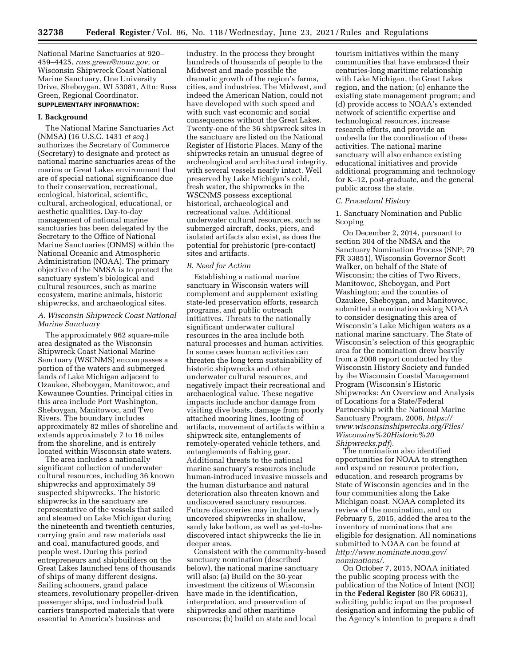National Marine Sanctuaries at 920– 459–4425, *[russ.green@noaa.gov,](mailto:russ.green@noaa.gov)* or Wisconsin Shipwreck Coast National Marine Sanctuary, One University Drive, Sheboygan, WI 53081, Attn: Russ Green, Regional Coordinator.

# **SUPPLEMENTARY INFORMATION:**

#### **I. Background**

The National Marine Sanctuaries Act (NMSA) (16 U.S.C. 1431 *et seq.*) authorizes the Secretary of Commerce (Secretary) to designate and protect as national marine sanctuaries areas of the marine or Great Lakes environment that are of special national significance due to their conservation, recreational, ecological, historical, scientific, cultural, archeological, educational, or aesthetic qualities. Day-to-day management of national marine sanctuaries has been delegated by the Secretary to the Office of National Marine Sanctuaries (ONMS) within the National Oceanic and Atmospheric Administration (NOAA). The primary objective of the NMSA is to protect the sanctuary system's biological and cultural resources, such as marine ecosystem, marine animals, historic shipwrecks, and archaeological sites.

## *A. Wisconsin Shipwreck Coast National Marine Sanctuary*

The approximately 962 square-mile area designated as the Wisconsin Shipwreck Coast National Marine Sanctuary (WSCNMS) encompasses a portion of the waters and submerged lands of Lake Michigan adjacent to Ozaukee, Sheboygan, Manitowoc, and Kewaunee Counties. Principal cities in this area include Port Washington, Sheboygan, Manitowoc, and Two Rivers. The boundary includes approximately 82 miles of shoreline and extends approximately 7 to 16 miles from the shoreline, and is entirely located within Wisconsin state waters.

The area includes a nationally significant collection of underwater cultural resources, including 36 known shipwrecks and approximately 59 suspected shipwrecks. The historic shipwrecks in the sanctuary are representative of the vessels that sailed and steamed on Lake Michigan during the nineteenth and twentieth centuries, carrying grain and raw materials east and coal, manufactured goods, and people west. During this period entrepreneurs and shipbuilders on the Great Lakes launched tens of thousands of ships of many different designs. Sailing schooners, grand palace steamers, revolutionary propeller-driven passenger ships, and industrial bulk carriers transported materials that were essential to America's business and

industry. In the process they brought hundreds of thousands of people to the Midwest and made possible the dramatic growth of the region's farms, cities, and industries. The Midwest, and indeed the American Nation, could not have developed with such speed and with such vast economic and social consequences without the Great Lakes. Twenty-one of the 36 shipwreck sites in the sanctuary are listed on the National Register of Historic Places. Many of the shipwrecks retain an unusual degree of archeological and architectural integrity, with several vessels nearly intact. Well preserved by Lake Michigan's cold, fresh water, the shipwrecks in the WSCNMS possess exceptional historical, archaeological and recreational value. Additional underwater cultural resources, such as submerged aircraft, docks, piers, and isolated artifacts also exist, as does the potential for prehistoric (pre-contact) sites and artifacts.

#### *B. Need for Action*

Establishing a national marine sanctuary in Wisconsin waters will complement and supplement existing state-led preservation efforts, research programs, and public outreach initiatives. Threats to the nationally significant underwater cultural resources in the area include both natural processes and human activities. In some cases human activities can threaten the long term sustainability of historic shipwrecks and other underwater cultural resources, and negatively impact their recreational and archaeological value. These negative impacts include anchor damage from visiting dive boats, damage from poorly attached mooring lines, looting of artifacts, movement of artifacts within a shipwreck site, entanglements of remotely-operated vehicle tethers, and entanglements of fishing gear. Additional threats to the national marine sanctuary's resources include human-introduced invasive mussels and the human disturbance and natural deterioration also threaten known and undiscovered sanctuary resources. Future discoveries may include newly uncovered shipwrecks in shallow, sandy lake bottom, as well as yet-to-bediscovered intact shipwrecks the lie in deeper areas.

Consistent with the community-based sanctuary nomination (described below), the national marine sanctuary will also: (a) Build on the 30-year investment the citizens of Wisconsin have made in the identification, interpretation, and preservation of shipwrecks and other maritime resources; (b) build on state and local

tourism initiatives within the many communities that have embraced their centuries-long maritime relationship with Lake Michigan, the Great Lakes region, and the nation; (c) enhance the existing state management program; and (d) provide access to NOAA's extended network of scientific expertise and technological resources, increase research efforts, and provide an umbrella for the coordination of these activities. The national marine sanctuary will also enhance existing educational initiatives and provide additional programming and technology for K–12, post-graduate, and the general public across the state.

#### *C. Procedural History*

1. Sanctuary Nomination and Public Scoping

On December 2, 2014, pursuant to section 304 of the NMSA and the Sanctuary Nomination Process (SNP; 79 FR 33851), Wisconsin Governor Scott Walker, on behalf of the State of Wisconsin; the cities of Two Rivers, Manitowoc, Sheboygan, and Port Washington; and the counties of Ozaukee, Sheboygan, and Manitowoc, submitted a nomination asking NOAA to consider designating this area of Wisconsin's Lake Michigan waters as a national marine sanctuary. The State of Wisconsin's selection of this geographic area for the nomination drew heavily from a 2008 report conducted by the Wisconsin History Society and funded by the Wisconsin Coastal Management Program (Wisconsin's Historic Shipwrecks: An Overview and Analysis of Locations for a State/Federal Partnership with the National Marine Sanctuary Program, 2008, *[https://](https://www.wisconsinshipwrecks.org/Files/Wisconsins%20Historic%20Shipwrecks.pdf) [www.wisconsinshipwrecks.org/Files/](https://www.wisconsinshipwrecks.org/Files/Wisconsins%20Historic%20Shipwrecks.pdf) [Wisconsins%20Historic%20](https://www.wisconsinshipwrecks.org/Files/Wisconsins%20Historic%20Shipwrecks.pdf) [Shipwrecks.pdf](https://www.wisconsinshipwrecks.org/Files/Wisconsins%20Historic%20Shipwrecks.pdf)*).

The nomination also identified opportunities for NOAA to strengthen and expand on resource protection, education, and research programs by State of Wisconsin agencies and in the four communities along the Lake Michigan coast. NOAA completed its review of the nomination, and on February 5, 2015, added the area to the inventory of nominations that are eligible for designation. All nominations submitted to NOAA can be found at *[http://www.nominate.noaa.gov/](http://www.nominate.noaa.gov/nominations/) [nominations/.](http://www.nominate.noaa.gov/nominations/)* 

On October 7, 2015, NOAA initiated the public scoping process with the publication of the Notice of Intent (NOI) in the **Federal Register** (80 FR 60631), soliciting public input on the proposed designation and informing the public of the Agency's intention to prepare a draft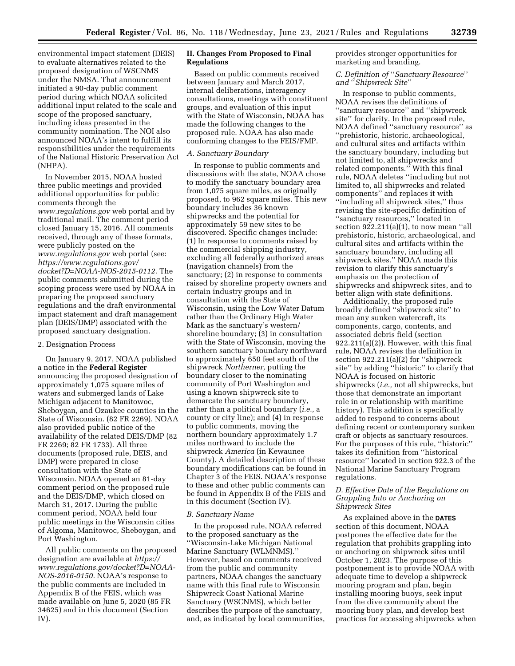environmental impact statement (DEIS) to evaluate alternatives related to the proposed designation of WSCNMS under the NMSA. That announcement initiated a 90-day public comment period during which NOAA solicited additional input related to the scale and scope of the proposed sanctuary, including ideas presented in the community nomination. The NOI also announced NOAA's intent to fulfill its responsibilities under the requirements of the National Historic Preservation Act (NHPA).

In November 2015, NOAA hosted three public meetings and provided additional opportunities for public comments through the *[www.regulations.gov](http://www.regulations.gov)* web portal and by traditional mail. The comment period closed January 15, 2016. All comments received, through any of these formats, were publicly posted on the *[www.regulations.gov](http://www.regulations.gov)* web portal (see: *[https://www.regulations.gov/](https://www.regulations.gov/docket?D=NOAA-NOS-2015-0112)  [docket?D=NOAA-NOS-2015-0112.](https://www.regulations.gov/docket?D=NOAA-NOS-2015-0112)* The public comments submitted during the scoping process were used by NOAA in preparing the proposed sanctuary regulations and the draft environmental impact statement and draft management plan (DEIS/DMP) associated with the proposed sanctuary designation.

## 2. Designation Process

On January 9, 2017, NOAA published a notice in the **Federal Register**  announcing the proposed designation of approximately 1,075 square miles of waters and submerged lands of Lake Michigan adjacent to Manitowoc, Sheboygan, and Ozaukee counties in the State of Wisconsin. (82 FR 2269). NOAA also provided public notice of the availability of the related DEIS/DMP (82 FR 2269; 82 FR 1733). All three documents (proposed rule, DEIS, and DMP) were prepared in close consultation with the State of Wisconsin. NOAA opened an 81-day comment period on the proposed rule and the DEIS/DMP, which closed on March 31, 2017. During the public comment period, NOAA held four public meetings in the Wisconsin cities of Algoma, Manitowoc, Sheboygan, and Port Washington.

All public comments on the proposed designation are available at *[https://](https://www.regulations.gov/docket?D=NOAA-NOS-2016-0150) [www.regulations.gov/docket?D=NOAA-](https://www.regulations.gov/docket?D=NOAA-NOS-2016-0150)[NOS-2016-0150.](https://www.regulations.gov/docket?D=NOAA-NOS-2016-0150)* NOAA's response to the public comments are included in Appendix B of the FEIS, which was made available on June 5, 2020 (85 FR 34625) and in this document (Section IV).

# **II. Changes From Proposed to Final Regulations**

Based on public comments received between January and March 2017, internal deliberations, interagency consultations, meetings with constituent groups, and evaluation of this input with the State of Wisconsin, NOAA has made the following changes to the proposed rule. NOAA has also made conforming changes to the FEIS/FMP.

#### *A. Sanctuary Boundary*

In response to public comments and discussions with the state, NOAA chose to modify the sanctuary boundary area from 1,075 square miles, as originally proposed, to 962 square miles. This new boundary includes 36 known shipwrecks and the potential for approximately 59 new sites to be discovered. Specific changes include: (1) In response to comments raised by the commercial shipping industry, excluding all federally authorized areas (navigation channels) from the sanctuary; (2) in response to comments raised by shoreline property owners and certain industry groups and in consultation with the State of Wisconsin, using the Low Water Datum rather than the Ordinary High Water Mark as the sanctuary's western/ shoreline boundary; (3) in consultation with the State of Wisconsin, moving the southern sanctuary boundary northward to approximately 650 feet south of the shipwreck *Northerner,* putting the boundary closer to the nominating community of Port Washington and using a known shipwreck site to demarcate the sanctuary boundary, rather than a political boundary (*i.e.,* a county or city line); and (4) in response to public comments, moving the northern boundary approximately 1.7 miles northward to include the shipwreck *America* (in Kewaunee County). A detailed description of these boundary modifications can be found in Chapter 3 of the FEIS. NOAA's response to these and other public comments can be found in Appendix B of the FEIS and in this document (Section IV).

## *B. Sanctuary Name*

In the proposed rule, NOAA referred to the proposed sanctuary as the ''Wisconsin-Lake Michigan National Marine Sanctuary (WLMNMS).'' However, based on comments received from the public and community partners, NOAA changes the sanctuary name with this final rule to Wisconsin Shipwreck Coast National Marine Sanctuary (WSCNMS), which better describes the purpose of the sanctuary, and, as indicated by local communities, provides stronger opportunities for marketing and branding.

# *C. Definition of* ''*Sanctuary Resource*'' *and* ''*Shipwreck Site*''

In response to public comments, NOAA revises the definitions of ''sanctuary resource'' and ''shipwreck site'' for clarity. In the proposed rule, NOAA defined ''sanctuary resource'' as ''prehistoric, historic, archaeological, and cultural sites and artifacts within the sanctuary boundary, including but not limited to, all shipwrecks and related components.'' With this final rule, NOAA deletes ''including but not limited to, all shipwrecks and related components'' and replaces it with ''including all shipwreck sites,'' thus revising the site-specific definition of ''sanctuary resources,'' located in section 922.211(a)(1), to now mean ''all prehistoric, historic, archaeological, and cultural sites and artifacts within the sanctuary boundary, including all shipwreck sites.'' NOAA made this revision to clarify this sanctuary's emphasis on the protection of shipwrecks and shipwreck sites, and to better align with state definitions.

Additionally, the proposed rule broadly defined ''shipwreck site'' to mean any sunken watercraft, its components, cargo, contents, and associated debris field (section  $922.211(a)(2)$ . However, with this final rule, NOAA revises the definition in section 922.211(a)(2) for ''shipwreck site'' by adding ''historic'' to clarify that NOAA is focused on historic shipwrecks (*i.e.,* not all shipwrecks, but those that demonstrate an important role in or relationship with maritime history). This addition is specifically added to respond to concerns about defining recent or contemporary sunken craft or objects as sanctuary resources. For the purposes of this rule, ''historic'' takes its definition from ''historical resource'' located in section 922.3 of the National Marine Sanctuary Program regulations.

## *D. Effective Date of the Regulations on Grappling Into or Anchoring on Shipwreck Sites*

As explained above in the **DATES** section of this document, NOAA postpones the effective date for the regulation that prohibits grappling into or anchoring on shipwreck sites until October 1, 2023. The purpose of this postponement is to provide NOAA with adequate time to develop a shipwreck mooring program and plan, begin installing mooring buoys, seek input from the dive community about the mooring buoy plan, and develop best practices for accessing shipwrecks when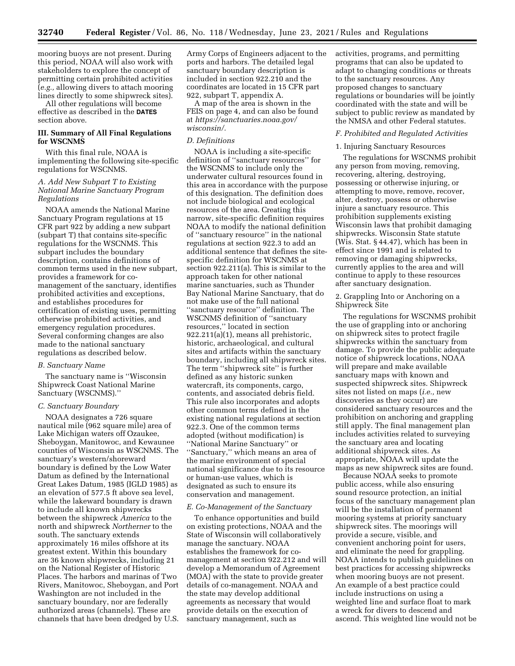mooring buoys are not present. During this period, NOAA will also work with stakeholders to explore the concept of permitting certain prohibited activities (*e.g.,* allowing divers to attach mooring lines directly to some shipwreck sites).

All other regulations will become effective as described in the **DATES** section above.

# **III. Summary of All Final Regulations for WSCNMS**

With this final rule, NOAA is implementing the following site-specific regulations for WSCNMS.

## *A. Add New Subpart T to Existing National Marine Sanctuary Program Regulations*

NOAA amends the National Marine Sanctuary Program regulations at 15 CFR part 922 by adding a new subpart (subpart T) that contains site-specific regulations for the WSCNMS. This subpart includes the boundary description, contains definitions of common terms used in the new subpart, provides a framework for comanagement of the sanctuary, identifies prohibited activities and exceptions, and establishes procedures for certification of existing uses, permitting otherwise prohibited activities, and emergency regulation procedures. Several conforming changes are also made to the national sanctuary regulations as described below.

#### *B. Sanctuary Name*

The sanctuary name is ''Wisconsin Shipwreck Coast National Marine Sanctuary (WSCNMS).''

## *C. Sanctuary Boundary*

NOAA designates a 726 square nautical mile (962 square mile) area of Lake Michigan waters off Ozaukee, Sheboygan, Manitowoc, and Kewaunee counties of Wisconsin as WSCNMS. The sanctuary's western/shoreward boundary is defined by the Low Water Datum as defined by the International Great Lakes Datum, 1985 (IGLD 1985) as an elevation of 577.5 ft above sea level, while the lakeward boundary is drawn to include all known shipwrecks between the shipwreck *America* to the north and shipwreck *Northerner* to the south. The sanctuary extends approximately 16 miles offshore at its greatest extent. Within this boundary are 36 known shipwrecks, including 21 on the National Register of Historic Places. The harbors and marinas of Two Rivers, Manitowoc, Sheboygan, and Port Washington are not included in the sanctuary boundary, nor are federally authorized areas (channels). These are channels that have been dredged by U.S.

Army Corps of Engineers adjacent to the ports and harbors. The detailed legal sanctuary boundary description is included in section 922.210 and the coordinates are located in 15 CFR part 922, subpart T, appendix A.

A map of the area is shown in the FEIS on page 4, and can also be found at *[https://sanctuaries.noaa.gov/](https://sanctuaries.noaa.gov/wisconsin/) [wisconsin/.](https://sanctuaries.noaa.gov/wisconsin/)* 

#### *D. Definitions*

NOAA is including a site-specific definition of ''sanctuary resources'' for the WSCNMS to include only the underwater cultural resources found in this area in accordance with the purpose of this designation. The definition does not include biological and ecological resources of the area. Creating this narrow, site-specific definition requires NOAA to modify the national definition of ''sanctuary resource'' in the national regulations at section 922.3 to add an additional sentence that defines the sitespecific definition for WSCNMS at section 922.211(a). This is similar to the approach taken for other national marine sanctuaries, such as Thunder Bay National Marine Sanctuary, that do not make use of the full national ''sanctuary resource'' definition. The WSCNMS definition of ''sanctuary resources,'' located in section 922.211(a)(1), means all prehistoric, historic, archaeological, and cultural sites and artifacts within the sanctuary boundary, including all shipwreck sites. The term ''shipwreck site'' is further defined as any historic sunken watercraft, its components, cargo, contents, and associated debris field. This rule also incorporates and adopts other common terms defined in the existing national regulations at section 922.3. One of the common terms adopted (without modification) is ''National Marine Sanctuary'' or ''Sanctuary,'' which means an area of the marine environment of special national significance due to its resource or human-use values, which is designated as such to ensure its conservation and management.

## *E. Co-Management of the Sanctuary*

To enhance opportunities and build on existing protections, NOAA and the State of Wisconsin will collaboratively manage the sanctuary. NOAA establishes the framework for comanagement at section 922.212 and will develop a Memorandum of Agreement (MOA) with the state to provide greater details of co-management. NOAA and the state may develop additional agreements as necessary that would provide details on the execution of sanctuary management, such as

activities, programs, and permitting programs that can also be updated to adapt to changing conditions or threats to the sanctuary resources. Any proposed changes to sanctuary regulations or boundaries will be jointly coordinated with the state and will be subject to public review as mandated by the NMSA and other Federal statutes.

# *F. Prohibited and Regulated Activities*

## 1. Injuring Sanctuary Resources

The regulations for WSCNMS prohibit any person from moving, removing, recovering, altering, destroying, possessing or otherwise injuring, or attempting to move, remove, recover, alter, destroy, possess or otherwise injure a sanctuary resource. This prohibition supplements existing Wisconsin laws that prohibit damaging shipwrecks. Wisconsin State statute (Wis. Stat. § 44.47), which has been in effect since 1991 and is related to removing or damaging shipwrecks, currently applies to the area and will continue to apply to these resources after sanctuary designation.

2. Grappling Into or Anchoring on a Shipwreck Site

The regulations for WSCNMS prohibit the use of grappling into or anchoring on shipwreck sites to protect fragile shipwrecks within the sanctuary from damage. To provide the public adequate notice of shipwreck locations, NOAA will prepare and make available sanctuary maps with known and suspected shipwreck sites. Shipwreck sites not listed on maps (*i.e.,* new discoveries as they occur) are considered sanctuary resources and the prohibition on anchoring and grappling still apply. The final management plan includes activities related to surveying the sanctuary area and locating additional shipwreck sites. As appropriate, NOAA will update the maps as new shipwreck sites are found.

Because NOAA seeks to promote public access, while also ensuring sound resource protection, an initial focus of the sanctuary management plan will be the installation of permanent mooring systems at priority sanctuary shipwreck sites. The moorings will provide a secure, visible, and convenient anchoring point for users, and eliminate the need for grappling. NOAA intends to publish guidelines on best practices for accessing shipwrecks when mooring buoys are not present. An example of a best practice could include instructions on using a weighted line and surface float to mark a wreck for divers to descend and ascend. This weighted line would not be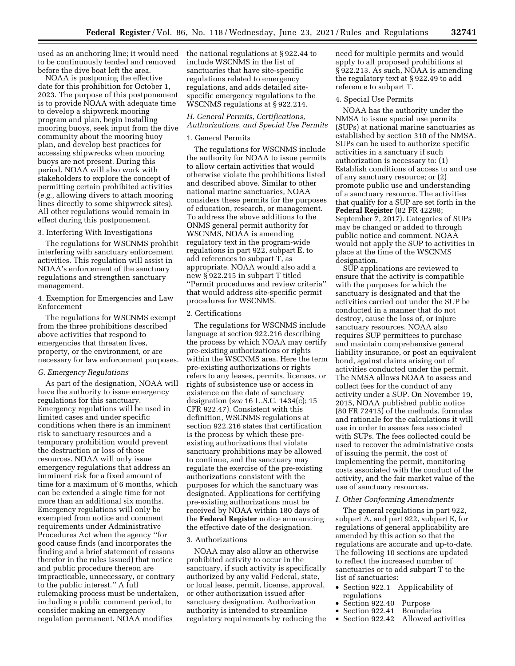used as an anchoring line; it would need to be continuously tended and removed before the dive boat left the area.

NOAA is postponing the effective date for this prohibition for October 1, 2023. The purpose of this postponement is to provide NOAA with adequate time to develop a shipwreck mooring program and plan, begin installing mooring buoys, seek input from the dive community about the mooring buoy plan, and develop best practices for accessing shipwrecks when mooring buoys are not present. During this period, NOAA will also work with stakeholders to explore the concept of permitting certain prohibited activities (*e.g.,* allowing divers to attach mooring lines directly to some shipwreck sites). All other regulations would remain in effect during this postponement.

## 3. Interfering With Investigations

The regulations for WSCNMS prohibit interfering with sanctuary enforcement activities. This regulation will assist in NOAA's enforcement of the sanctuary regulations and strengthen sanctuary management.

4. Exemption for Emergencies and Law Enforcement

The regulations for WSCNMS exempt from the three prohibitions described above activities that respond to emergencies that threaten lives, property, or the environment, or are necessary for law enforcement purposes.

#### *G. Emergency Regulations*

As part of the designation, NOAA will have the authority to issue emergency regulations for this sanctuary. Emergency regulations will be used in limited cases and under specific conditions when there is an imminent risk to sanctuary resources and a temporary prohibition would prevent the destruction or loss of those resources. NOAA will only issue emergency regulations that address an imminent risk for a fixed amount of time for a maximum of 6 months, which can be extended a single time for not more than an additional six months. Emergency regulations will only be exempted from notice and comment requirements under Administrative Procedures Act when the agency ''for good cause finds (and incorporates the finding and a brief statement of reasons therefor in the rules issued) that notice and public procedure thereon are impracticable, unnecessary, or contrary to the public interest.'' A full rulemaking process must be undertaken, including a public comment period, to consider making an emergency regulation permanent. NOAA modifies

the national regulations at § 922.44 to include WSCNMS in the list of sanctuaries that have site-specific regulations related to emergency regulations, and adds detailed sitespecific emergency regulations to the WSCNMS regulations at § 922.214.

# *H. General Permits, Certifications, Authorizations, and Special Use Permits*

## 1. General Permits

The regulations for WSCNMS include the authority for NOAA to issue permits to allow certain activities that would otherwise violate the prohibitions listed and described above. Similar to other national marine sanctuaries, NOAA considers these permits for the purposes of education, research, or management. To address the above additions to the ONMS general permit authority for WSCNMS, NOAA is amending regulatory text in the program-wide regulations in part 922, subpart E, to add references to subpart T, as appropriate. NOAA would also add a new § 922.215 in subpart T titled ''Permit procedures and review criteria'' that would address site-specific permit procedures for WSCNMS.

## 2. Certifications

The regulations for WSCNMS include language at section 922.216 describing the process by which NOAA may certify pre-existing authorizations or rights within the WSCNMS area. Here the term pre-existing authorizations or rights refers to any leases, permits, licenses, or rights of subsistence use or access in existence on the date of sanctuary designation (*see* 16 U.S.C. 1434(c); 15 CFR 922.47). Consistent with this definition, WSCNMS regulations at section 922.216 states that certification is the process by which these preexisting authorizations that violate sanctuary prohibitions may be allowed to continue, and the sanctuary may regulate the exercise of the pre-existing authorizations consistent with the purposes for which the sanctuary was designated. Applications for certifying pre-existing authorizations must be received by NOAA within 180 days of the **Federal Register** notice announcing the effective date of the designation.

#### 3. Authorizations

NOAA may also allow an otherwise prohibited activity to occur in the sanctuary, if such activity is specifically authorized by any valid Federal, state, or local lease, permit, license, approval, or other authorization issued after sanctuary designation. Authorization authority is intended to streamline regulatory requirements by reducing the need for multiple permits and would apply to all proposed prohibitions at § 922.213. As such, NOAA is amending the regulatory text at § 922.49 to add reference to subpart T.

## 4. Special Use Permits

NOAA has the authority under the NMSA to issue special use permits (SUPs) at national marine sanctuaries as established by section 310 of the NMSA. SUPs can be used to authorize specific activities in a sanctuary if such authorization is necessary to: (1) Establish conditions of access to and use of any sanctuary resource; or (2) promote public use and understanding of a sanctuary resource. The activities that qualify for a SUP are set forth in the **Federal Register** (82 FR 42298; September 7, 2017). Categories of SUPs may be changed or added to through public notice and comment. NOAA would not apply the SUP to activities in place at the time of the WSCNMS designation.

SUP applications are reviewed to ensure that the activity is compatible with the purposes for which the sanctuary is designated and that the activities carried out under the SUP be conducted in a manner that do not destroy, cause the loss of, or injure sanctuary resources. NOAA also requires SUP permittees to purchase and maintain comprehensive general liability insurance, or post an equivalent bond, against claims arising out of activities conducted under the permit. The NMSA allows NOAA to assess and collect fees for the conduct of any activity under a SUP. On November 19, 2015, NOAA published public notice (80 FR 72415) of the methods, formulas and rationale for the calculations it will use in order to assess fees associated with SUPs. The fees collected could be used to recover the administrative costs of issuing the permit, the cost of implementing the permit, monitoring costs associated with the conduct of the activity, and the fair market value of the use of sanctuary resources.

## *I. Other Conforming Amendments*

The general regulations in part 922, subpart A, and part 922, subpart E, for regulations of general applicability are amended by this action so that the regulations are accurate and up-to-date. The following 10 sections are updated to reflect the increased number of sanctuaries or to add subpart T to the list of sanctuaries:

- Section 922.1 Applicability of regulations
- Section 922.40 Purpose
- Section  $922.41$
- Section 922.42 Allowed activities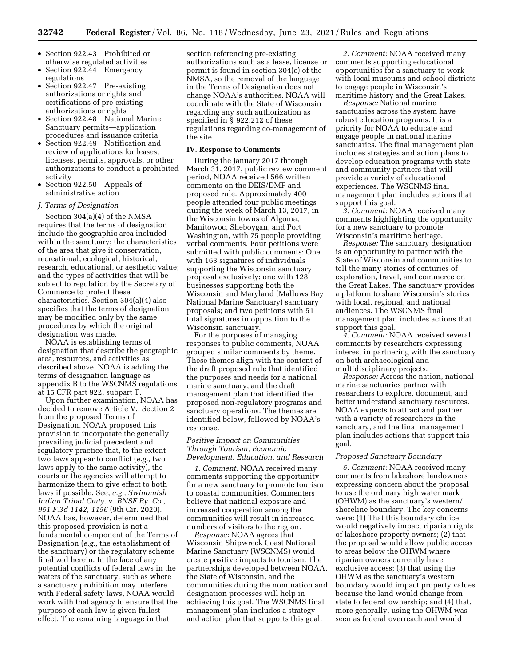- Section 922.43 Prohibited or otherwise regulated activities
- Section 922.44 Emergency regulations
- Section 922.47 Pre-existing authorizations or rights and certifications of pre-existing authorizations or rights
- Section 922.48 National Marine Sanctuary permits—application procedures and issuance criteria
- Section 922.49 Notification and review of applications for leases, licenses, permits, approvals, or other authorizations to conduct a prohibited activity
- Section 922.50 Appeals of administrative action

## *J. Terms of Designation*

Section 304(a)(4) of the NMSA requires that the terms of designation include the geographic area included within the sanctuary; the characteristics of the area that give it conservation, recreational, ecological, historical, research, educational, or aesthetic value; and the types of activities that will be subject to regulation by the Secretary of Commerce to protect these characteristics. Section 304(a)(4) also specifies that the terms of designation may be modified only by the same procedures by which the original designation was made.

NOAA is establishing terms of designation that describe the geographic area, resources, and activities as described above. NOAA is adding the terms of designation language as appendix B to the WSCNMS regulations at 15 CFR part 922, subpart T.

Upon further examination, NOAA has decided to remove Article V., Section 2 from the proposed Terms of Designation. NOAA proposed this provision to incorporate the generally prevailing judicial precedent and regulatory practice that, to the extent two laws appear to conflict (*e.g.,* two laws apply to the same activity), the courts or the agencies will attempt to harmonize them to give effect to both laws if possible. See, *e.g., Swinomish Indian Tribal Cmty.* v. *BNSF Ry. Co., 951 F.3d 1142, 1156* (9th Cir. 2020). NOAA has, however, determined that this proposed provision is not a fundamental component of the Terms of Designation (*e.g.,* the establishment of the sanctuary) or the regulatory scheme finalized herein. In the face of any potential conflicts of federal laws in the waters of the sanctuary, such as where a sanctuary prohibition may interfere with Federal safety laws, NOAA would work with that agency to ensure that the purpose of each law is given fullest effect. The remaining language in that

section referencing pre-existing authorizations such as a lease, license or permit is found in section 304(c) of the NMSA, so the removal of the language in the Terms of Designation does not change NOAA's authorities. NOAA will coordinate with the State of Wisconsin regarding any such authorization as specified in § 922.212 of these regulations regarding co-management of the site.

## **IV. Response to Comments**

During the January 2017 through March 31, 2017, public review comment period, NOAA received 566 written comments on the DEIS/DMP and proposed rule. Approximately 400 people attended four public meetings during the week of March 13, 2017, in the Wisconsin towns of Algoma, Manitowoc, Sheboygan, and Port Washington, with 75 people providing verbal comments. Four petitions were submitted with public comments: One with 163 signatures of individuals supporting the Wisconsin sanctuary proposal exclusively; one with 128 businesses supporting both the Wisconsin and Maryland (Mallows Bay National Marine Sanctuary) sanctuary proposals; and two petitions with 51 total signatures in opposition to the Wisconsin sanctuary.

For the purposes of managing responses to public comments, NOAA grouped similar comments by theme. These themes align with the content of the draft proposed rule that identified the purposes and needs for a national marine sanctuary, and the draft management plan that identified the proposed non-regulatory programs and sanctuary operations. The themes are identified below, followed by NOAA's response.

# *Positive Impact on Communities Through Tourism, Economic Development, Education, and Research*

*1. Comment:* NOAA received many comments supporting the opportunity for a new sanctuary to promote tourism to coastal communities. Commenters believe that national exposure and increased cooperation among the communities will result in increased numbers of visitors to the region.

*Response:* NOAA agrees that Wisconsin Shipwreck Coast National Marine Sanctuary (WSCNMS) would create positive impacts to tourism. The partnerships developed between NOAA, the State of Wisconsin, and the communities during the nomination and designation processes will help in achieving this goal. The WSCNMS final management plan includes a strategy and action plan that supports this goal.

*2. Comment:* NOAA received many comments supporting educational opportunities for a sanctuary to work with local museums and school districts to engage people in Wisconsin's maritime history and the Great Lakes.

*Response:* National marine sanctuaries across the system have robust education programs. It is a priority for NOAA to educate and engage people in national marine sanctuaries. The final management plan includes strategies and action plans to develop education programs with state and community partners that will provide a variety of educational experiences. The WSCNMS final management plan includes actions that support this goal.

*3. Comment:* NOAA received many comments highlighting the opportunity for a new sanctuary to promote Wisconsin's maritime heritage.

*Response:* The sanctuary designation is an opportunity to partner with the State of Wisconsin and communities to tell the many stories of centuries of exploration, travel, and commerce on the Great Lakes. The sanctuary provides a platform to share Wisconsin's stories with local, regional, and national audiences. The WSCNMS final management plan includes actions that support this goal.

*4. Comment:* NOAA received several comments by researchers expressing interest in partnering with the sanctuary on both archaeological and multidisciplinary projects.

*Response:* Across the nation, national marine sanctuaries partner with researchers to explore, document, and better understand sanctuary resources. NOAA expects to attract and partner with a variety of researchers in the sanctuary, and the final management plan includes actions that support this goal.

## *Proposed Sanctuary Boundary*

*5. Comment:* NOAA received many comments from lakeshore landowners expressing concern about the proposal to use the ordinary high water mark (OHWM) as the sanctuary's western/ shoreline boundary. The key concerns were: (1) That this boundary choice would negatively impact riparian rights of lakeshore property owners; (2) that the proposal would allow public access to areas below the OHWM where riparian owners currently have exclusive access; (3) that using the OHWM as the sanctuary's western boundary would impact property values because the land would change from state to federal ownership; and (4) that, more generally, using the OHWM was seen as federal overreach and would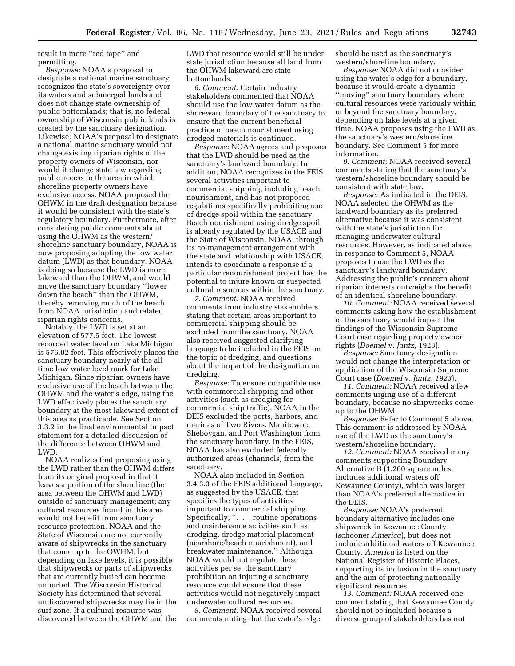result in more ''red tape'' and permitting.

*Response:* NOAA's proposal to designate a national marine sanctuary recognizes the state's sovereignty over its waters and submerged lands and does not change state ownership of public bottomlands; that is, no federal ownership of Wisconsin public lands is created by the sanctuary designation. Likewise, NOAA's proposal to designate a national marine sanctuary would not change existing riparian rights of the property owners of Wisconsin, nor would it change state law regarding public access to the area in which shoreline property owners have exclusive access. NOAA proposed the OHWM in the draft designation because it would be consistent with the state's regulatory boundary. Furthermore, after considering public comments about using the OHWM as the western/ shoreline sanctuary boundary, NOAA is now proposing adopting the low water datum (LWD) as that boundary. NOAA is doing so because the LWD is more lakeward than the OHWM, and would move the sanctuary boundary ''lower down the beach'' than the OHWM, thereby removing much of the beach from NOAA jurisdiction and related riparian rights concerns.

Notably, the LWD is set at an elevation of 577.5 feet. The lowest recorded water level on Lake Michigan is 576.02 feet. This effectively places the sanctuary boundary nearly at the alltime low water level mark for Lake Michigan. Since riparian owners have exclusive use of the beach between the OHWM and the water's edge, using the LWD effectively places the sanctuary boundary at the most lakeward extent of this area as practicable. See Section 3.3.2 in the final environmental impact statement for a detailed discussion of the difference between OHWM and LWD.

NOAA realizes that proposing using the LWD rather than the OHWM differs from its original proposal in that it leaves a portion of the shoreline (the area between the OHWM and LWD) outside of sanctuary management; any cultural resources found in this area would not benefit from sanctuary resource protection. NOAA and the State of Wisconsin are not currently aware of shipwrecks in the sanctuary that come up to the OWHM, but depending on lake levels, it is possible that shipwrecks or parts of shipwrecks that are currently buried can become unburied. The Wisconsin Historical Society has determined that several undiscovered shipwrecks may lie in the surf zone. If a cultural resource was discovered between the OHWM and the LWD that resource would still be under state jurisdiction because all land from the OHWM lakeward are state bottomlands.

*6. Comment:* Certain industry stakeholders commented that NOAA should use the low water datum as the shoreward boundary of the sanctuary to ensure that the current beneficial practice of beach nourishment using dredged materials is continued.

*Response:* NOAA agrees and proposes that the LWD should be used as the sanctuary's landward boundary. In addition, NOAA recognizes in the FEIS several activities important to commercial shipping, including beach nourishment, and has not proposed regulations specifically prohibiting use of dredge spoil within the sanctuary. Beach nourishment using dredge spoil is already regulated by the USACE and the State of Wisconsin. NOAA, through its co-management arrangement with the state and relationship with USACE, intends to coordinate a response if a particular renourishment project has the potential to injure known or suspected cultural resources within the sanctuary.

*7. Comment:* NOAA received comments from industry stakeholders stating that certain areas important to commercial shipping should be excluded from the sanctuary. NOAA also received suggested clarifying language to be included in the FEIS on the topic of dredging, and questions about the impact of the designation on dredging.

*Response:* To ensure compatible use with commercial shipping and other activities (such as dredging for commercial ship traffic), NOAA in the DEIS excluded the ports, harbors, and marinas of Two Rivers, Manitowoc, Sheboygan, and Port Washington from the sanctuary boundary. In the FEIS, NOAA has also excluded federally authorized areas (channels) from the sanctuary.

NOAA also included in Section 3.4.3.3 of the FEIS additional language, as suggested by the USACE, that specifies the types of activities important to commercial shipping. Specifically, ''. . . routine operations and maintenance activities such as dredging, dredge material placement (nearshore/beach nourishment), and breakwater maintenance.'' Although NOAA would not regulate these activities per se, the sanctuary prohibition on injuring a sanctuary resource would ensure that these activities would not negatively impact underwater cultural resources.

*8. Comment:* NOAA received several comments noting that the water's edge

should be used as the sanctuary's western/shoreline boundary.

*Response:* NOAA did not consider using the water's edge for a boundary, because it would create a dynamic ''moving'' sanctuary boundary where cultural resources were variously within or beyond the sanctuary boundary, depending on lake levels at a given time. NOAA proposes using the LWD as the sanctuary's western/shoreline boundary. See Comment 5 for more information.

*9. Comment:* NOAA received several comments stating that the sanctuary's western/shoreline boundary should be consistent with state law.

*Response:* As indicated in the DEIS, NOAA selected the OHWM as the landward boundary as its preferred alternative because it was consistent with the state's jurisdiction for managing underwater cultural resources. However, as indicated above in response to Comment 5, NOAA proposes to use the LWD as the sanctuary's landward boundary. Addressing the public's concern about riparian interests outweighs the benefit of an identical shoreline boundary.

*10. Comment:* NOAA received several comments asking how the establishment of the sanctuary would impact the findings of the Wisconsin Supreme Court case regarding property owner rights (*Doemel* v. *Jantz,* 1923).

*Response:* Sanctuary designation would not change the interpretation or application of the Wisconsin Supreme Court case (*Doemel* v. *Jantz, 1923*).

*11. Comment:* NOAA received a few comments urging use of a different boundary, because no shipwrecks come up to the OHWM.

*Response:* Refer to Comment 5 above. This comment is addressed by NOAA use of the LWD as the sanctuary's western/shoreline boundary.

*12. Comment:* NOAA received many comments supporting Boundary Alternative B (1,260 square miles, includes additional waters off Kewaunee County), which was larger than NOAA's preferred alternative in the DEIS.

*Response:* NOAA's preferred boundary alternative includes one shipwreck in Kewaunee County (schooner *America*), but does not include additional waters off Kewaunee County. *America* is listed on the National Register of Historic Places, supporting its inclusion in the sanctuary and the aim of protecting nationally significant resources.

*13. Comment:* NOAA received one comment stating that Kewaunee County should not be included because a diverse group of stakeholders has not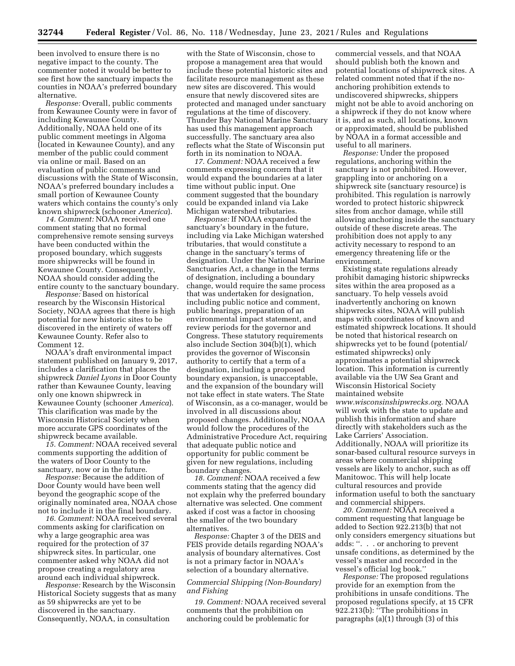been involved to ensure there is no negative impact to the county. The commenter noted it would be better to see first how the sanctuary impacts the counties in NOAA's preferred boundary alternative.

*Response:* Overall, public comments from Kewaunee County were in favor of including Kewaunee County. Additionally, NOAA held one of its public comment meetings in Algoma (located in Kewaunee County), and any member of the public could comment via online or mail. Based on an evaluation of public comments and discussions with the State of Wisconsin, NOAA's preferred boundary includes a small portion of Kewaunee County waters which contains the county's only known shipwreck (schooner *America*).

*14. Comment:* NOAA received one comment stating that no formal comprehensive remote sensing surveys have been conducted within the proposed boundary, which suggests more shipwrecks will be found in Kewaunee County. Consequently, NOAA should consider adding the entire county to the sanctuary boundary.

*Response:* Based on historical research by the Wisconsin Historical Society, NOAA agrees that there is high potential for new historic sites to be discovered in the entirety of waters off Kewaunee County. Refer also to Comment 12.

NOAA's draft environmental impact statement published on January 9, 2017, includes a clarification that places the shipwreck *Daniel Lyons* in Door County rather than Kewaunee County, leaving only one known shipwreck in Kewaunee County (schooner *America*). This clarification was made by the Wisconsin Historical Society when more accurate GPS coordinates of the shipwreck became available.

*15. Comment:* NOAA received several comments supporting the addition of the waters of Door County to the sanctuary, now or in the future.

*Response:* Because the addition of Door County would have been well beyond the geographic scope of the originally nominated area, NOAA chose not to include it in the final boundary.

*16. Comment:* NOAA received several comments asking for clarification on why a large geographic area was required for the protection of 37 shipwreck sites. In particular, one commenter asked why NOAA did not propose creating a regulatory area around each individual shipwreck.

*Response:* Research by the Wisconsin Historical Society suggests that as many as 59 shipwrecks are yet to be discovered in the sanctuary. Consequently, NOAA, in consultation

with the State of Wisconsin, chose to propose a management area that would include these potential historic sites and facilitate resource management as these new sites are discovered. This would ensure that newly discovered sites are protected and managed under sanctuary regulations at the time of discovery. Thunder Bay National Marine Sanctuary has used this management approach successfully. The sanctuary area also reflects what the State of Wisconsin put forth in its nomination to NOAA.

*17. Comment:* NOAA received a few comments expressing concern that it would expand the boundaries at a later time without public input. One comment suggested that the boundary could be expanded inland via Lake Michigan watershed tributaries.

*Response:* If NOAA expanded the sanctuary's boundary in the future, including via Lake Michigan watershed tributaries, that would constitute a change in the sanctuary's terms of designation. Under the National Marine Sanctuaries Act, a change in the terms of designation, including a boundary change, would require the same process that was undertaken for designation, including public notice and comment, public hearings, preparation of an environmental impact statement, and review periods for the governor and Congress. These statutory requirements also include Section 304(b)(1), which provides the governor of Wisconsin authority to certify that a term of a designation, including a proposed boundary expansion, is unacceptable, and the expansion of the boundary will not take effect in state waters. The State of Wisconsin, as a co-manager, would be involved in all discussions about proposed changes. Additionally, NOAA would follow the procedures of the Administrative Procedure Act, requiring that adequate public notice and opportunity for public comment be given for new regulations, including boundary changes.

*18. Comment:* NOAA received a few comments stating that the agency did not explain why the preferred boundary alternative was selected. One comment asked if cost was a factor in choosing the smaller of the two boundary alternatives.

*Response:* Chapter 3 of the DEIS and FEIS provide details regarding NOAA's analysis of boundary alternatives. Cost is not a primary factor in NOAA's selection of a boundary alternative.

# *Commercial Shipping (Non-Boundary) and Fishing*

*19. Comment:* NOAA received several comments that the prohibition on anchoring could be problematic for

commercial vessels, and that NOAA should publish both the known and potential locations of shipwreck sites. A related comment noted that if the noanchoring prohibition extends to undiscovered shipwrecks, shippers might not be able to avoid anchoring on a shipwreck if they do not know where it is, and as such, all locations, known or approximated, should be published by NOAA in a format accessible and useful to all mariners.

*Response:* Under the proposed regulations, anchoring within the sanctuary is not prohibited. However, grappling into or anchoring on a shipwreck site (sanctuary resource) is prohibited. This regulation is narrowly worded to protect historic shipwreck sites from anchor damage, while still allowing anchoring inside the sanctuary outside of these discrete areas. The prohibition does not apply to any activity necessary to respond to an emergency threatening life or the environment.

Existing state regulations already prohibit damaging historic shipwrecks sites within the area proposed as a sanctuary. To help vessels avoid inadvertently anchoring on known shipwrecks sites, NOAA will publish maps with coordinates of known and estimated shipwreck locations. It should be noted that historical research on shipwrecks yet to be found (potential/ estimated shipwrecks) only approximates a potential shipwreck location. This information is currently available via the UW Sea Grant and Wisconsin Historical Society maintained website *[www.wisconsinshipwrecks.org.](http://www.wisconsinshipwrecks.org)* NOAA will work with the state to update and publish this information and share directly with stakeholders such as the Lake Carriers' Association. Additionally, NOAA will prioritize its sonar-based cultural resource surveys in areas where commercial shipping vessels are likely to anchor, such as off Manitowoc. This will help locate cultural resources and provide information useful to both the sanctuary and commercial shippers.

*20. Comment:* NOAA received a comment requesting that language be added to Section 922.213(b) that not only considers emergency situations but adds: ''. . . or anchoring to prevent unsafe conditions, as determined by the vessel's master and recorded in the vessel's official log book.''

*Response:* The proposed regulations provide for an exemption from the prohibitions in unsafe conditions. The proposed regulations specify, at 15 CFR 922.213(b): ''The prohibitions in paragraphs (a)(1) through (3) of this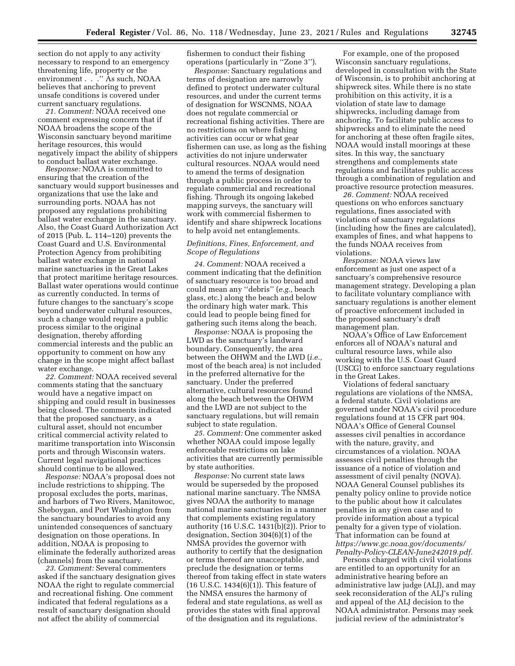section do not apply to any activity necessary to respond to an emergency threatening life, property or the environment . . . . " As such, NOAA believes that anchoring to prevent unsafe conditions is covered under current sanctuary regulations.

*21. Comment:* NOAA received one comment expressing concern that if NOAA broadens the scope of the Wisconsin sanctuary beyond maritime heritage resources, this would negatively impact the ability of shippers to conduct ballast water exchange.

*Response:* NOAA is committed to ensuring that the creation of the sanctuary would support businesses and organizations that use the lake and surrounding ports. NOAA has not proposed any regulations prohibiting ballast water exchange in the sanctuary. Also, the Coast Guard Authorization Act of 2015 (Pub. L. 114–120) prevents the Coast Guard and U.S. Environmental Protection Agency from prohibiting ballast water exchange in national marine sanctuaries in the Great Lakes that protect maritime heritage resources. Ballast water operations would continue as currently conducted. In terms of future changes to the sanctuary's scope beyond underwater cultural resources, such a change would require a public process similar to the original designation, thereby affording commercial interests and the public an opportunity to comment on how any change in the scope might affect ballast water exchange.

*22. Comment:* NOAA received several comments stating that the sanctuary would have a negative impact on shipping and could result in businesses being closed. The comments indicated that the proposed sanctuary, as a cultural asset, should not encumber critical commercial activity related to maritime transportation into Wisconsin ports and through Wisconsin waters. Current legal navigational practices should continue to be allowed.

*Response:* NOAA's proposal does not include restrictions to shipping. The proposal excludes the ports, marinas, and harbors of Two Rivers, Manitowoc, Sheboygan, and Port Washington from the sanctuary boundaries to avoid any unintended consequences of sanctuary designation on those operations. In addition, NOAA is proposing to eliminate the federally authorized areas (channels) from the sanctuary.

*23. Comment:* Several commenters asked if the sanctuary designation gives NOAA the right to regulate commercial and recreational fishing. One comment indicated that federal regulations as a result of sanctuary designation should not affect the ability of commercial

fishermen to conduct their fishing operations (particularly in ''Zone 3'').

*Response:* Sanctuary regulations and terms of designation are narrowly defined to protect underwater cultural resources, and under the current terms of designation for WSCNMS, NOAA does not regulate commercial or recreational fishing activities. There are no restrictions on where fishing activities can occur or what gear fishermen can use, as long as the fishing activities do not injure underwater cultural resources. NOAA would need to amend the terms of designation through a public process in order to regulate commercial and recreational fishing. Through its ongoing lakebed mapping surveys, the sanctuary will work with commercial fishermen to identify and share shipwreck locations to help avoid net entanglements.

# *Definitions, Fines, Enforcement, and Scope of Regulations*

*24. Comment:* NOAA received a comment indicating that the definition of sanctuary resource is too broad and could mean any ''debris'' (*e.g.,* beach glass, etc.) along the beach and below the ordinary high water mark. This could lead to people being fined for gathering such items along the beach.

*Response:* NOAA is proposing the LWD as the sanctuary's landward boundary. Consequently, the area between the OHWM and the LWD (*i.e.,*  most of the beach area) is not included in the preferred alternative for the sanctuary. Under the preferred alternative, cultural resources found along the beach between the OHWM and the LWD are not subject to the sanctuary regulations, but will remain subject to state regulation.

*25. Comment:* One commenter asked whether NOAA could impose legally enforceable restrictions on lake activities that are currently permissible by state authorities.

*Response:* No current state laws would be superseded by the proposed national marine sanctuary. The NMSA gives NOAA the authority to manage national marine sanctuaries in a manner that complements existing regulatory authority (16 U.S.C. 1431(b)(2)). Prior to designation, Section 304(6)(1) of the NMSA provides the governor with authority to certify that the designation or terms thereof are unacceptable, and preclude the designation or terms thereof from taking effect in state waters (16 U.S.C. 1434(6)(1)). This feature of the NMSA ensures the harmony of federal and state regulations, as well as provides the states with final approval of the designation and its regulations.

For example, one of the proposed Wisconsin sanctuary regulations, developed in consultation with the State of Wisconsin, is to prohibit anchoring at shipwreck sites. While there is no state prohibition on this activity, it is a violation of state law to damage shipwrecks, including damage from anchoring. To facilitate public access to shipwrecks and to eliminate the need for anchoring at these often fragile sites, NOAA would install moorings at these sites. In this way, the sanctuary strengthens and complements state regulations and facilitates public access through a combination of regulation and proactive resource protection measures.

*26. Comment:* NOAA received questions on who enforces sanctuary regulations, fines associated with violations of sanctuary regulations (including how the fines are calculated), examples of fines, and what happens to the funds NOAA receives from violations.

*Response:* NOAA views law enforcement as just one aspect of a sanctuary's comprehensive resource management strategy. Developing a plan to facilitate voluntary compliance with sanctuary regulations is another element of proactive enforcement included in the proposed sanctuary's draft management plan.

NOAA's Office of Law Enforcement enforces all of NOAA's natural and cultural resource laws, while also working with the U.S. Coast Guard (USCG) to enforce sanctuary regulations in the Great Lakes.

Violations of federal sanctuary regulations are violations of the NMSA, a federal statute. Civil violations are governed under NOAA's civil procedure regulations found at 15 CFR part 904. NOAA's Office of General Counsel assesses civil penalties in accordance with the nature, gravity, and circumstances of a violation. NOAA assesses civil penalties through the issuance of a notice of violation and assessment of civil penalty (NOVA). NOAA General Counsel publishes its penalty policy online to provide notice to the public about how it calculates penalties in any given case and to provide information about a typical penalty for a given type of violation. That information can be found at *[https://www.gc.noaa.gov/documents/](https://www.gc.noaa.gov/documents/Penalty-Policy-CLEAN-June242019.pdf)  [Penalty-Policy-CLEAN-June242019.pdf.](https://www.gc.noaa.gov/documents/Penalty-Policy-CLEAN-June242019.pdf)* 

Persons charged with civil violations are entitled to an opportunity for an administrative hearing before an administrative law judge (ALJ), and may seek reconsideration of the ALJ's ruling and appeal of the ALJ decision to the NOAA administrator. Persons may seek judicial review of the administrator's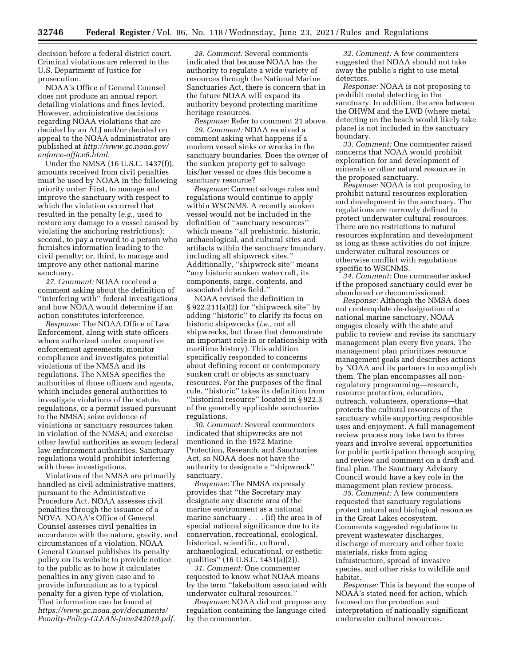decision before a federal district court. Criminal violations are referred to the U.S. Department of Justice for prosecution.

NOAA's Office of General Counsel does not produce an annual report detailing violations and fines levied. However, administrative decisions regarding NOAA violations that are decided by an ALJ and/or decided on appeal to the NOAA administrator are published at *[http://www.gc.noaa.gov/](http://www.gc.noaa.gov/enforce-office6.html)  [enforce-office6.html.](http://www.gc.noaa.gov/enforce-office6.html)* 

Under the NMSA (16 U.S.C. 1437(f)), amounts received from civil penalties must be used by NOAA in the following priority order: First, to manage and improve the sanctuary with respect to which the violation occurred that resulted in the penalty (*e.g.,* used to restore any damage to a vessel caused by violating the anchoring restrictions); second, to pay a reward to a person who furnishes information leading to the civil penalty; or, third, to manage and improve any other national marine sanctuary.

*27. Comment:* NOAA received a comment asking about the definition of ''interfering with'' federal investigations and how NOAA would determine if an action constitutes interference.

*Response:* The NOAA Office of Law Enforcement, along with state officers where authorized under cooperative enforcement agreements, monitor compliance and investigates potential violations of the NMSA and its regulations. The NMSA specifies the authorities of those officers and agents, which includes general authorities to investigate violations of the statute, regulations, or a permit issued pursuant to the NMSA; seize evidence of violations or sanctuary resources taken in violation of the NMSA; and exercise other lawful authorities as sworn federal law enforcement authorities. Sanctuary regulations would prohibit interfering with these investigations.

Violations of the NMSA are primarily handled as civil administrative matters, pursuant to the Administrative Procedure Act. NOAA assesses civil penalties through the issuance of a NOVA. NOAA's Office of General Counsel assesses civil penalties in accordance with the nature, gravity, and circumstances of a violation. NOAA General Counsel publishes its penalty policy on its website to provide notice to the public as to how it calculates penalties in any given case and to provide information as to a typical penalty for a given type of violation. That information can be found at *[https://www.gc.noaa.gov/documents/](https://www.gc.noaa.gov/documents/Penalty-Policy-CLEAN-June242019.pdf)  [Penalty-Policy-CLEAN-June242019.pdf.](https://www.gc.noaa.gov/documents/Penalty-Policy-CLEAN-June242019.pdf)* 

*28. Comment:* Several comments indicated that because NOAA has the authority to regulate a wide variety of resources through the National Marine Sanctuaries Act, there is concern that in the future NOAA will expand its authority beyond protecting maritime heritage resources.

*Response:* Refer to comment 21 above. *29. Comment:* NOAA received a comment asking what happens if a modern vessel sinks or wrecks in the sanctuary boundaries. Does the owner of the sunken property get to salvage his/her vessel or does this become a sanctuary resource?

*Response:* Current salvage rules and regulations would continue to apply within WSCNMS. A recently sunken vessel would not be included in the definition of ''sanctuary resources'' which means ''all prehistoric, historic, archaeological, and cultural sites and artifacts within the sanctuary boundary, including all shipwreck sites.'' Additionally, ''shipwreck site'' means ''any historic sunken watercraft, its components, cargo, contents, and associated debris field.''

NOAA revised the definition in § 922.211(a)(2) for ''shipwreck site'' by adding ''historic'' to clarify its focus on historic shipwrecks (*i.e.,* not all shipwrecks, but those that demonstrate an important role in or relationship with maritime history). This addition specifically responded to concerns about defining recent or contemporary sunken craft or objects as sanctuary resources. For the purposes of the final rule, ''historic'' takes its definition from ''historical resource'' located in § 922.3 of the generally applicable sanctuaries regulations.

*30. Comment:* Several commenters indicated that shipwrecks are not mentioned in the 1972 Marine Protection, Research, and Sanctuaries Act, so NOAA does not have the authority to designate a ''shipwreck'' sanctuary.

*Response:* The NMSA expressly provides that ''the Secretary may designate any discrete area of the marine environment as a national marine sanctuary . . . (if) the area is of special national significance due to its conservation, recreational, ecological, historical, scientific, cultural, archaeological, educational, or esthetic qualities'' (16 U.S.C. 1431(a)(2)).

*31. Comment:* One commenter requested to know what NOAA means by the term ''lakebottom associated with underwater cultural resources.''

*Response:* NOAA did not propose any regulation containing the language cited by the commenter.

*32. Comment:* A few commenters suggested that NOAA should not take away the public's right to use metal detectors.

*Response:* NOAA is not proposing to prohibit metal detecting in the sanctuary. In addition, the area between the OHWM and the LWD (where metal detecting on the beach would likely take place) is not included in the sanctuary boundary.

*33. Comment:* One commenter raised concerns that NOAA would prohibit exploration for and development of minerals or other natural resources in the proposed sanctuary.

*Response:* NOAA is not proposing to prohibit natural resources exploration and development in the sanctuary. The regulations are narrowly defined to protect underwater cultural resources. There are no restrictions to natural resources exploration and development as long as these activities do not injure underwater cultural resources or otherwise conflict with regulations specific to WSCNMS.

*34. Comment:* One commenter asked if the proposed sanctuary could ever be abandoned or decommissioned.

*Response:* Although the NMSA does not contemplate de-designation of a national marine sanctuary, NOAA engages closely with the state and public to review and revise its sanctuary management plan every five years. The management plan prioritizes resource management goals and describes actions by NOAA and its partners to accomplish them. The plan encompasses all nonregulatory programming—research, resource protection, education, outreach, volunteers, operations—that protects the cultural resources of the sanctuary while supporting responsible uses and enjoyment. A full management review process may take two to three years and involve several opportunities for public participation through scoping and review and comment on a draft and final plan. The Sanctuary Advisory Council would have a key role in the management plan review process.

*35. Comment:* A few commenters requested that sanctuary regulations protect natural and biological resources in the Great Lakes ecosystem. Comments suggested regulations to prevent wastewater discharges, discharge of mercury and other toxic materials, risks from aging infrastructure, spread of invasive species, and other risks to wildlife and habitat.

*Response:* This is beyond the scope of NOAA's stated need for action, which focused on the protection and interpretation of nationally significant underwater cultural resources.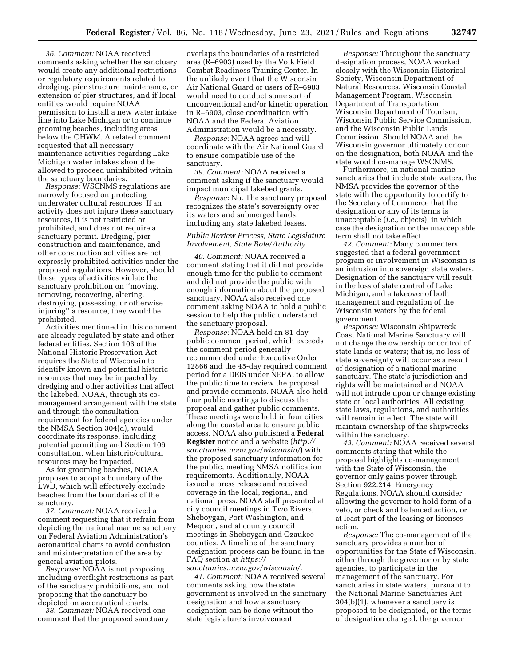*36. Comment:* NOAA received comments asking whether the sanctuary would create any additional restrictions or regulatory requirements related to dredging, pier structure maintenance, or extension of pier structures, and if local entities would require NOAA permission to install a new water intake line into Lake Michigan or to continue grooming beaches, including areas below the OHWM. A related comment requested that all necessary maintenance activities regarding Lake Michigan water intakes should be allowed to proceed uninhibited within the sanctuary boundaries.

*Response:* WSCNMS regulations are narrowly focused on protecting underwater cultural resources. If an activity does not injure these sanctuary resources, it is not restricted or prohibited, and does not require a sanctuary permit. Dredging, pier construction and maintenance, and other construction activities are not expressly prohibited activities under the proposed regulations. However, should these types of activities violate the sanctuary prohibition on ''moving, removing, recovering, altering, destroying, possessing, or otherwise injuring'' a resource, they would be prohibited.

Activities mentioned in this comment are already regulated by state and other federal entities. Section 106 of the National Historic Preservation Act requires the State of Wisconsin to identify known and potential historic resources that may be impacted by dredging and other activities that affect the lakebed. NOAA, through its comanagement arrangement with the state and through the consultation requirement for federal agencies under the NMSA Section 304(d), would coordinate its response, including potential permitting and Section 106 consultation, when historic/cultural resources may be impacted.

As for grooming beaches, NOAA proposes to adopt a boundary of the LWD, which will effectively exclude beaches from the boundaries of the sanctuary.

*37. Comment:* NOAA received a comment requesting that it refrain from depicting the national marine sanctuary on Federal Aviation Administration's aeronautical charts to avoid confusion and misinterpretation of the area by general aviation pilots.

*Response:* NOAA is not proposing including overflight restrictions as part of the sanctuary prohibitions, and not proposing that the sanctuary be depicted on aeronautical charts.

*38. Comment:* NOAA received one comment that the proposed sanctuary

overlaps the boundaries of a restricted area (R–6903) used by the Volk Field Combat Readiness Training Center. In the unlikely event that the Wisconsin Air National Guard or users of R–6903 would need to conduct some sort of unconventional and/or kinetic operation in R–6903, close coordination with NOAA and the Federal Aviation Administration would be a necessity.

*Response:* NOAA agrees and will coordinate with the Air National Guard to ensure compatible use of the sanctuary.

*39. Comment:* NOAA received a comment asking if the sanctuary would impact municipal lakebed grants.

*Response:* No. The sanctuary proposal recognizes the state's sovereignty over its waters and submerged lands, including any state lakebed leases.

# *Public Review Process, State Legislature Involvement, State Role/Authority*

*40. Comment:* NOAA received a comment stating that it did not provide enough time for the public to comment and did not provide the public with enough information about the proposed sanctuary. NOAA also received one comment asking NOAA to hold a public session to help the public understand the sanctuary proposal.

*Response:* NOAA held an 81-day public comment period, which exceeds the comment period generally recommended under Executive Order 12866 and the 45-day required comment period for a DEIS under NEPA, to allow the public time to review the proposal and provide comments. NOAA also held four public meetings to discuss the proposal and gather public comments. These meetings were held in four cities along the coastal area to ensure public access. NOAA also published a **Federal Register** notice and a website (*[http://](http://sanctuaries.noaa.gov/wisconsin/) [sanctuaries.noaa.gov/wisconsin/](http://sanctuaries.noaa.gov/wisconsin/)*) with the proposed sanctuary information for the public, meeting NMSA notification requirements. Additionally, NOAA issued a press release and received coverage in the local, regional, and national press. NOAA staff presented at city council meetings in Two Rivers, Sheboygan, Port Washington, and Mequon, and at county council meetings in Sheboygan and Ozaukee counties. A timeline of the sanctuary designation process can be found in the FAQ section at *[https://](https://sanctuaries.noaa.gov/wisconsin/)*

*[sanctuaries.noaa.gov/wisconsin/.](https://sanctuaries.noaa.gov/wisconsin/)  41. Comment:* NOAA received several comments asking how the state government is involved in the sanctuary designation and how a sanctuary designation can be done without the state legislature's involvement.

*Response:* Throughout the sanctuary designation process, NOAA worked closely with the Wisconsin Historical Society, Wisconsin Department of Natural Resources, Wisconsin Coastal Management Program, Wisconsin Department of Transportation, Wisconsin Department of Tourism, Wisconsin Public Service Commission, and the Wisconsin Public Lands Commission. Should NOAA and the Wisconsin governor ultimately concur on the designation, both NOAA and the state would co-manage WSCNMS.

Furthermore, in national marine sanctuaries that include state waters, the NMSA provides the governor of the state with the opportunity to certify to the Secretary of Commerce that the designation or any of its terms is unacceptable (*i.e.,* objects), in which case the designation or the unacceptable term shall not take effect.

*42. Comment:* Many commenters suggested that a federal government program or involvement in Wisconsin is an intrusion into sovereign state waters. Designation of the sanctuary will result in the loss of state control of Lake Michigan, and a takeover of both management and regulation of the Wisconsin waters by the federal government.

*Response:* Wisconsin Shipwreck Coast National Marine Sanctuary will not change the ownership or control of state lands or waters; that is, no loss of state sovereignty will occur as a result of designation of a national marine sanctuary. The state's jurisdiction and rights will be maintained and NOAA will not intrude upon or change existing state or local authorities. All existing state laws, regulations, and authorities will remain in effect. The state will maintain ownership of the shipwrecks within the sanctuary.

*43. Comment:* NOAA received several comments stating that while the proposal highlights co-management with the State of Wisconsin, the governor only gains power through Section 922.214, Emergency Regulations. NOAA should consider allowing the governor to hold form of a veto, or check and balanced action, or at least part of the leasing or licenses action.

*Response:* The co-management of the sanctuary provides a number of opportunities for the State of Wisconsin, either through the governor or by state agencies, to participate in the management of the sanctuary. For sanctuaries in state waters, pursuant to the National Marine Sanctuaries Act 304(b)(1), whenever a sanctuary is proposed to be designated, or the terms of designation changed, the governor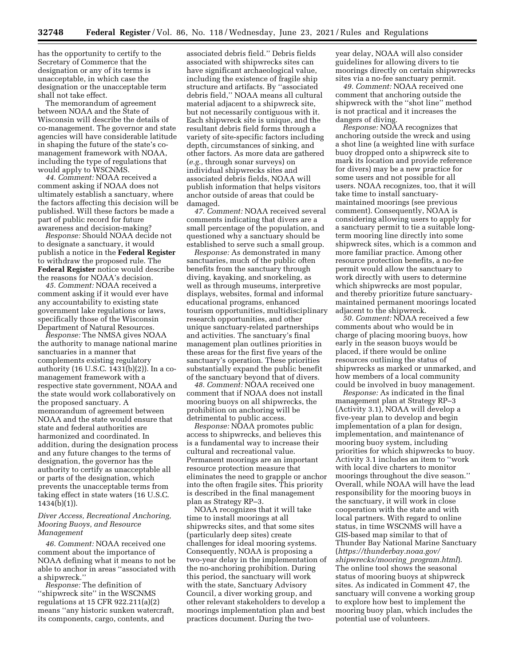has the opportunity to certify to the Secretary of Commerce that the designation or any of its terms is unacceptable, in which case the designation or the unacceptable term shall not take effect.

The memorandum of agreement between NOAA and the State of Wisconsin will describe the details of co-management. The governor and state agencies will have considerable latitude in shaping the future of the state's comanagement framework with NOAA, including the type of regulations that would apply to WSCNMS.

*44. Comment:* NOAA received a comment asking if NOAA does not ultimately establish a sanctuary, where the factors affecting this decision will be published. Will these factors be made a part of public record for future awareness and decision-making?

*Response:* Should NOAA decide not to designate a sanctuary, it would publish a notice in the **Federal Register**  to withdraw the proposed rule. The **Federal Register** notice would describe the reasons for NOAA's decision.

*45. Comment:* NOAA received a comment asking if it would ever have any accountability to existing state government lake regulations or laws, specifically those of the Wisconsin Department of Natural Resources.

*Response:* The NMSA gives NOAA the authority to manage national marine sanctuaries in a manner that complements existing regulatory authority (16 U.S.C. 1431(b)(2)). In a comanagement framework with a respective state government, NOAA and the state would work collaboratively on the proposed sanctuary. A memorandum of agreement between NOAA and the state would ensure that state and federal authorities are harmonized and coordinated. In addition, during the designation process and any future changes to the terms of designation, the governor has the authority to certify as unacceptable all or parts of the designation, which prevents the unacceptable terms from taking effect in state waters (16 U.S.C. 1434(b)(1)).

## *Diver Access, Recreational Anchoring, Mooring Buoys, and Resource Management*

*46. Comment:* NOAA received one comment about the importance of NOAA defining what it means to not be able to anchor in areas ''associated with a shipwreck.''

*Response:* The definition of ''shipwreck site'' in the WSCNMS regulations at 15 CFR 922.211(a)(2) means ''any historic sunken watercraft, its components, cargo, contents, and

associated debris field.'' Debris fields associated with shipwrecks sites can have significant archaeological value, including the existence of fragile ship structure and artifacts. By ''associated debris field,'' NOAA means all cultural material adjacent to a shipwreck site, but not necessarily contiguous with it. Each shipwreck site is unique, and the resultant debris field forms through a variety of site-specific factors including depth, circumstances of sinking, and other factors. As more data are gathered (*e.g.,* through sonar surveys) on individual shipwrecks sites and associated debris fields, NOAA will publish information that helps visitors anchor outside of areas that could be damaged.

*47. Comment:* NOAA received several comments indicating that divers are a small percentage of the population, and questioned why a sanctuary should be established to serve such a small group.

*Response:* As demonstrated in many sanctuaries, much of the public often benefits from the sanctuary through diving, kayaking, and snorkeling, as well as through museums, interpretive displays, websites, formal and informal educational programs, enhanced tourism opportunities, multidisciplinary research opportunities, and other unique sanctuary-related partnerships and activities. The sanctuary's final management plan outlines priorities in these areas for the first five years of the sanctuary's operation. These priorities substantially expand the public benefit of the sanctuary beyond that of divers.

*48. Comment:* NOAA received one comment that if NOAA does not install mooring buoys on all shipwrecks, the prohibition on anchoring will be detrimental to public access.

*Response:* NOAA promotes public access to shipwrecks, and believes this is a fundamental way to increase their cultural and recreational value. Permanent moorings are an important resource protection measure that eliminates the need to grapple or anchor into the often fragile sites. This priority is described in the final management plan as Strategy RP–3.

NOAA recognizes that it will take time to install moorings at all shipwrecks sites, and that some sites (particularly deep sites) create challenges for ideal mooring systems. Consequently, NOAA is proposing a two-year delay in the implementation of the no-anchoring prohibition. During this period, the sanctuary will work with the state, Sanctuary Advisory Council, a diver working group, and other relevant stakeholders to develop a moorings implementation plan and best practices document. During the twoyear delay, NOAA will also consider guidelines for allowing divers to tie moorings directly on certain shipwrecks sites via a no-fee sanctuary permit.

*49. Comment:* NOAA received one comment that anchoring outside the shipwreck with the ''shot line'' method is not practical and it increases the dangers of diving.

*Response:* NOAA recognizes that anchoring outside the wreck and using a shot line (a weighted line with surface buoy dropped onto a shipwreck site to mark its location and provide reference for divers) may be a new practice for some users and not possible for all users. NOAA recognizes, too, that it will take time to install sanctuarymaintained moorings (see previous comment). Consequently, NOAA is considering allowing users to apply for a sanctuary permit to tie a suitable longterm mooring line directly into some shipwreck sites, which is a common and more familiar practice. Among other resource protection benefits, a no-fee permit would allow the sanctuary to work directly with users to determine which shipwrecks are most popular, and thereby prioritize future sanctuarymaintained permanent moorings located adjacent to the shipwreck.

*50. Comment:* NOAA received a few comments about who would be in charge of placing mooring buoys, how early in the season buoys would be placed, if there would be online resources outlining the status of shipwrecks as marked or unmarked, and how members of a local community could be involved in buoy management.

*Response:* As indicated in the final management plan at Strategy RP–3 (Activity 3.1), NOAA will develop a five-year plan to develop and begin implementation of a plan for design, implementation, and maintenance of mooring buoy system, including priorities for which shipwrecks to buoy. Activity 3.1 includes an item to ''work with local dive charters to monitor moorings throughout the dive season.'' Overall, while NOAA will have the lead responsibility for the mooring buoys in the sanctuary, it will work in close cooperation with the state and with local partners. With regard to online status, in time WSCNMS will have a GIS-based map similar to that of Thunder Bay National Marine Sanctuary (*[https://thunderbay.noaa.gov/](https://thunderbay.noaa.gov/shipwrecks/mooring_program.html) [shipwrecks/mooring](https://thunderbay.noaa.gov/shipwrecks/mooring_program.html)*\_*program.html*). The online tool shows the seasonal status of mooring buoys at shipwreck sites. As indicated in Comment 47, the sanctuary will convene a working group to explore how best to implement the mooring buoy plan, which includes the potential use of volunteers.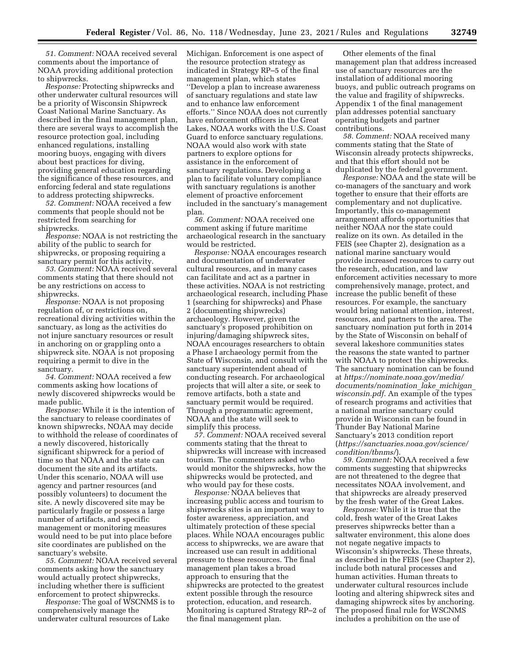*51. Comment:* NOAA received several comments about the importance of NOAA providing additional protection to shipwrecks.

*Response:* Protecting shipwrecks and other underwater cultural resources will be a priority of Wisconsin Shipwreck Coast National Marine Sanctuary. As described in the final management plan, there are several ways to accomplish the resource protection goal, including enhanced regulations, installing mooring buoys, engaging with divers about best practices for diving, providing general education regarding the significance of these resources, and enforcing federal and state regulations to address protecting shipwrecks.

*52. Comment:* NOAA received a few comments that people should not be restricted from searching for shipwrecks.

*Response:* NOAA is not restricting the ability of the public to search for shipwrecks, or proposing requiring a sanctuary permit for this activity.

*53. Comment:* NOAA received several comments stating that there should not be any restrictions on access to shipwrecks.

*Response:* NOAA is not proposing regulation of, or restrictions on, recreational diving activities within the sanctuary, as long as the activities do not injure sanctuary resources or result in anchoring on or grappling onto a shipwreck site. NOAA is not proposing requiring a permit to dive in the sanctuary.

*54. Comment:* NOAA received a few comments asking how locations of newly discovered shipwrecks would be made public.

*Response:* While it is the intention of the sanctuary to release coordinates of known shipwrecks, NOAA may decide to withhold the release of coordinates of a newly discovered, historically significant shipwreck for a period of time so that NOAA and the state can document the site and its artifacts. Under this scenario, NOAA will use agency and partner resources (and possibly volunteers) to document the site. A newly discovered site may be particularly fragile or possess a large number of artifacts, and specific management or monitoring measures would need to be put into place before site coordinates are published on the sanctuary's website.

*55. Comment:* NOAA received several comments asking how the sanctuary would actually protect shipwrecks, including whether there is sufficient enforcement to protect shipwrecks.

*Response:* The goal of WSCNMS is to comprehensively manage the underwater cultural resources of Lake

Michigan. Enforcement is one aspect of the resource protection strategy as indicated in Strategy RP–5 of the final management plan, which states ''Develop a plan to increase awareness of sanctuary regulations and state law and to enhance law enforcement efforts.'' Since NOAA does not currently have enforcement officers in the Great Lakes, NOAA works with the U.S. Coast Guard to enforce sanctuary regulations. NOAA would also work with state partners to explore options for assistance in the enforcement of sanctuary regulations. Developing a plan to facilitate voluntary compliance with sanctuary regulations is another element of proactive enforcement included in the sanctuary's management plan.

*56. Comment:* NOAA received one comment asking if future maritime archaeological research in the sanctuary would be restricted.

*Response:* NOAA encourages research and documentation of underwater cultural resources, and in many cases can facilitate and act as a partner in these activities. NOAA is not restricting archaeological research, including Phase 1 (searching for shipwrecks) and Phase 2 (documenting shipwrecks) archaeology. However, given the sanctuary's proposed prohibition on injuring/damaging shipwreck sites, NOAA encourages researchers to obtain a Phase I archaeology permit from the State of Wisconsin, and consult with the sanctuary superintendent ahead of conducting research. For archaeological projects that will alter a site, or seek to remove artifacts, both a state and sanctuary permit would be required. Through a programmatic agreement, NOAA and the state will seek to simplify this process.

*57. Comment:* NOAA received several comments stating that the threat to shipwrecks will increase with increased tourism. The commenters asked who would monitor the shipwrecks, how the shipwrecks would be protected, and who would pay for these costs.

*Response:* NOAA believes that increasing public access and tourism to shipwrecks sites is an important way to foster awareness, appreciation, and ultimately protection of these special places. While NOAA encourages public access to shipwrecks, we are aware that increased use can result in additional pressure to these resources. The final management plan takes a broad approach to ensuring that the shipwrecks are protected to the greatest extent possible through the resource protection, education, and research. Monitoring is captured Strategy RP–2 of the final management plan.

Other elements of the final management plan that address increased use of sanctuary resources are the installation of additional mooring buoys, and public outreach programs on the value and fragility of shipwrecks. Appendix 1 of the final management plan addresses potential sanctuary operating budgets and partner contributions.

*58. Comment:* NOAA received many comments stating that the State of Wisconsin already protects shipwrecks, and that this effort should not be duplicated by the federal government.

*Response:* NOAA and the state will be co-managers of the sanctuary and work together to ensure that their efforts are complementary and not duplicative. Importantly, this co-management arrangement affords opportunities that neither NOAA nor the state could realize on its own. As detailed in the FEIS (see Chapter 2), designation as a national marine sanctuary would provide increased resources to carry out the research, education, and law enforcement activities necessary to more comprehensively manage, protect, and increase the public benefit of these resources. For example, the sanctuary would bring national attention, interest, resources, and partners to the area. The sanctuary nomination put forth in 2014 by the State of Wisconsin on behalf of several lakeshore communities states the reasons the state wanted to partner with NOAA to protect the shipwrecks. The sanctuary nomination can be found at *[https://nominate.noaa.gov/media/](https://nominate.noaa.gov/media/documents/nomination_lake_michigan_wisconsin.pdf) [documents/nomination](https://nominate.noaa.gov/media/documents/nomination_lake_michigan_wisconsin.pdf)*\_*lake*\_*michigan*\_ *[wisconsin.pdf.](https://nominate.noaa.gov/media/documents/nomination_lake_michigan_wisconsin.pdf)* An example of the types of research programs and activities that a national marine sanctuary could provide in Wisconsin can be found in Thunder Bay National Marine Sanctuary's 2013 condition report (*[https://sanctuaries.noaa.gov/science/](https://sanctuaries.noaa.gov/science/condition/tbnms/)  [condition/tbnms/](https://sanctuaries.noaa.gov/science/condition/tbnms/)*).

*59. Comment:* NOAA received a few comments suggesting that shipwrecks are not threatened to the degree that necessitates NOAA involvement, and that shipwrecks are already preserved by the fresh water of the Great Lakes.

*Response:* While it is true that the cold, fresh water of the Great Lakes preserves shipwrecks better than a saltwater environment, this alone does not negate negative impacts to Wisconsin's shipwrecks. These threats, as described in the FEIS (see Chapter 2), include both natural processes and human activities. Human threats to underwater cultural resources include looting and altering shipwreck sites and damaging shipwreck sites by anchoring. The proposed final rule for WSCNMS includes a prohibition on the use of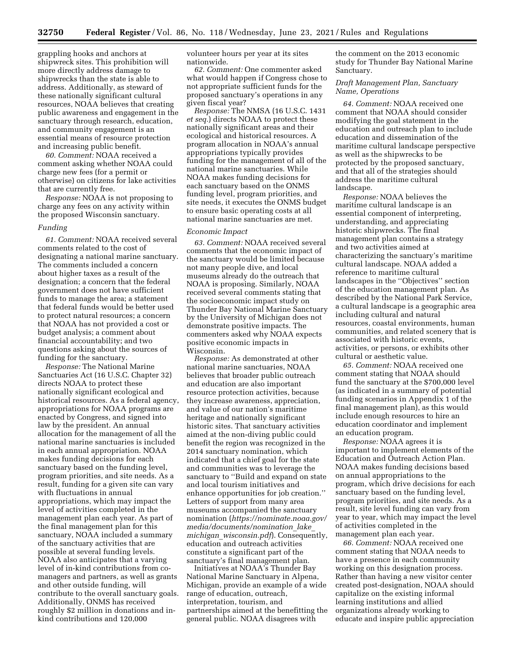grappling hooks and anchors at shipwreck sites. This prohibition will more directly address damage to shipwrecks than the state is able to address. Additionally, as steward of these nationally significant cultural resources, NOAA believes that creating public awareness and engagement in the sanctuary through research, education, and community engagement is an essential means of resource protection and increasing public benefit.

*60. Comment:* NOAA received a comment asking whether NOAA could charge new fees (for a permit or otherwise) on citizens for lake activities that are currently free.

*Response:* NOAA is not proposing to charge any fees on any activity within the proposed Wisconsin sanctuary.

#### *Funding*

*61. Comment:* NOAA received several comments related to the cost of designating a national marine sanctuary. The comments included a concern about higher taxes as a result of the designation; a concern that the federal government does not have sufficient funds to manage the area; a statement that federal funds would be better used to protect natural resources; a concern that NOAA has not provided a cost or budget analysis; a comment about financial accountability; and two questions asking about the sources of funding for the sanctuary.

*Response:* The National Marine Sanctuaries Act (16 U.S.C. Chapter 32) directs NOAA to protect these nationally significant ecological and historical resources. As a federal agency, appropriations for NOAA programs are enacted by Congress, and signed into law by the president. An annual allocation for the management of all the national marine sanctuaries is included in each annual appropriation. NOAA makes funding decisions for each sanctuary based on the funding level, program priorities, and site needs. As a result, funding for a given site can vary with fluctuations in annual appropriations, which may impact the level of activities completed in the management plan each year. As part of the final management plan for this sanctuary, NOAA included a summary of the sanctuary activities that are possible at several funding levels. NOAA also anticipates that a varying level of in-kind contributions from comanagers and partners, as well as grants and other outside funding, will contribute to the overall sanctuary goals. Additionally, ONMS has received roughly \$2 million in donations and inkind contributions and 120,000

volunteer hours per year at its sites nationwide.

*62. Comment:* One commenter asked what would happen if Congress chose to not appropriate sufficient funds for the proposed sanctuary's operations in any given fiscal year?

*Response:* The NMSA (16 U.S.C. 1431 *et seq.*) directs NOAA to protect these nationally significant areas and their ecological and historical resources. A program allocation in NOAA's annual appropriations typically provides funding for the management of all of the national marine sanctuaries. While NOAA makes funding decisions for each sanctuary based on the ONMS funding level, program priorities, and site needs, it executes the ONMS budget to ensure basic operating costs at all national marine sanctuaries are met.

#### *Economic Impact*

*63. Comment:* NOAA received several comments that the economic impact of the sanctuary would be limited because not many people dive, and local museums already do the outreach that NOAA is proposing. Similarly, NOAA received several comments stating that the socioeconomic impact study on Thunder Bay National Marine Sanctuary by the University of Michigan does not demonstrate positive impacts. The commenters asked why NOAA expects positive economic impacts in Wisconsin.

*Response:* As demonstrated at other national marine sanctuaries, NOAA believes that broader public outreach and education are also important resource protection activities, because they increase awareness, appreciation, and value of our nation's maritime heritage and nationally significant historic sites. That sanctuary activities aimed at the non-diving public could benefit the region was recognized in the 2014 sanctuary nomination, which indicated that a chief goal for the state and communities was to leverage the sanctuary to ''Build and expand on state and local tourism initiatives and enhance opportunities for job creation.'' Letters of support from many area museums accompanied the sanctuary nomination (*[https://nominate.noaa.gov/](https://nominate.noaa.gov/media/documents/nomination_lake_michigan_wisconsin.pdf)  [media/documents/nomination](https://nominate.noaa.gov/media/documents/nomination_lake_michigan_wisconsin.pdf)*\_*lake*\_ *michigan*\_*[wisconsin.pdf](https://nominate.noaa.gov/media/documents/nomination_lake_michigan_wisconsin.pdf)*). Consequently, education and outreach activities constitute a significant part of the sanctuary's final management plan.

Initiatives at NOAA's Thunder Bay National Marine Sanctuary in Alpena, Michigan, provide an example of a wide range of education, outreach, interpretation, tourism, and partnerships aimed at the benefitting the general public. NOAA disagrees with

the comment on the 2013 economic study for Thunder Bay National Marine Sanctuary.

## *Draft Management Plan, Sanctuary Name, Operations*

*64. Comment:* NOAA received one comment that NOAA should consider modifying the goal statement in the education and outreach plan to include education and dissemination of the maritime cultural landscape perspective as well as the shipwrecks to be protected by the proposed sanctuary, and that all of the strategies should address the maritime cultural landscape.

*Response:* NOAA believes the maritime cultural landscape is an essential component of interpreting, understanding, and appreciating historic shipwrecks. The final management plan contains a strategy and two activities aimed at characterizing the sanctuary's maritime cultural landscape. NOAA added a reference to maritime cultural landscapes in the ''Objectives'' section of the education management plan. As described by the National Park Service, a cultural landscape is a geographic area including cultural and natural resources, coastal environments, human communities, and related scenery that is associated with historic events, activities, or persons, or exhibits other cultural or aesthetic value.

*65. Comment:* NOAA received one comment stating that NOAA should fund the sanctuary at the \$700,000 level (as indicated in a summary of potential funding scenarios in Appendix 1 of the final management plan), as this would include enough resources to hire an education coordinator and implement an education program.

*Response:* NOAA agrees it is important to implement elements of the Education and Outreach Action Plan. NOAA makes funding decisions based on annual appropriations to the program, which drive decisions for each sanctuary based on the funding level, program priorities, and site needs. As a result, site level funding can vary from year to year, which may impact the level of activities completed in the management plan each year.

*66. Comment:* NOAA received one comment stating that NOAA needs to have a presence in each community working on this designation process. Rather than having a new visitor center created post-designation, NOAA should capitalize on the existing informal learning institutions and allied organizations already working to educate and inspire public appreciation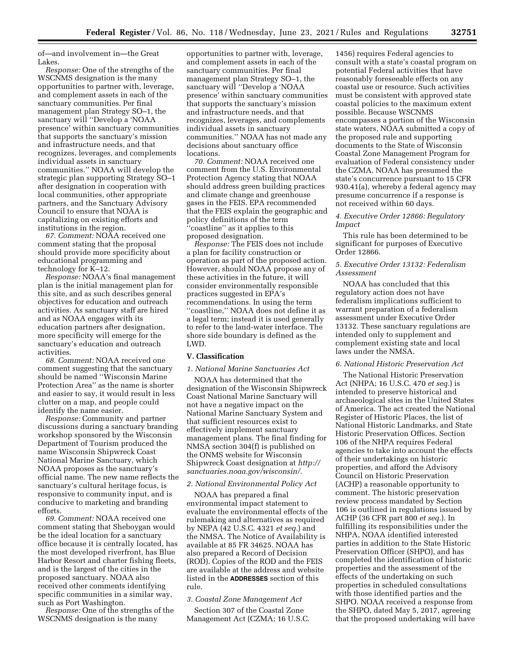of—and involvement in—the Great Lakes.

*Response:* One of the strengths of the WSCNMS designation is the many opportunities to partner with, leverage, and complement assets in each of the sanctuary communities. Per final management plan Strategy SO–1, the sanctuary will ''Develop a 'NOAA presence' within sanctuary communities that supports the sanctuary's mission and infrastructure needs, and that recognizes, leverages, and complements individual assets in sanctuary communities.'' NOAA will develop the strategic plan supporting Strategy SO–1 after designation in cooperation with local communities, other appropriate partners, and the Sanctuary Advisory Council to ensure that NOAA is capitalizing on existing efforts and institutions in the region.

*67. Comment:* NOAA received one comment stating that the proposal should provide more specificity about educational programming and technology for K–12.

*Response:* NOAA's final management plan is the initial management plan for this site, and as such describes general objectives for education and outreach activities. As sanctuary staff are hired and as NOAA engages with its education partners after designation, more specificity will emerge for the sanctuary's education and outreach activities.

*68. Comment:* NOAA received one comment suggesting that the sanctuary should be named ''Wisconsin Marine Protection Area'' as the name is shorter and easier to say, it would result in less clutter on a map, and people could identify the name easier.

*Response:* Community and partner discussions during a sanctuary branding workshop sponsored by the Wisconsin Department of Tourism produced the name Wisconsin Shipwreck Coast National Marine Sanctuary, which NOAA proposes as the sanctuary's official name. The new name reflects the sanctuary's cultural heritage focus, is responsive to community input, and is conducive to marketing and branding efforts.

*69. Comment:* NOAA received one comment stating that Sheboygan would be the ideal location for a sanctuary office because it is centrally located, has the most developed riverfront, has Blue Harbor Resort and charter fishing fleets, and is the largest of the cities in the proposed sanctuary. NOAA also received other comments identifying specific communities in a similar way, such as Port Washington.

*Response:* One of the strengths of the WSCNMS designation is the many

opportunities to partner with, leverage, and complement assets in each of the sanctuary communities. Per final management plan Strategy SO–1, the sanctuary will "Develop a 'NOAA presence' within sanctuary communities that supports the sanctuary's mission and infrastructure needs, and that recognizes, leverages, and complements individual assets in sanctuary communities.'' NOAA has not made any decisions about sanctuary office locations.

*70. Comment:* NOAA received one comment from the U.S. Environmental Protection Agency stating that NOAA should address green building practices and climate change and greenhouse gases in the FEIS. EPA recommended that the FEIS explain the geographic and policy definitions of the term ''coastline'' as it applies to this proposed designation.

*Response:* The FEIS does not include a plan for facility construction or operation as part of the proposed action. However, should NOAA propose any of these activities in the future, it will consider environmentally responsible practices suggested in EPA's recommendations. In using the term ''coastline,'' NOAA does not define it as a legal term; instead it is used generally to refer to the land-water interface. The shore side boundary is defined as the LWD.

## **V. Classification**

# *1. National Marine Sanctuaries Act*

NOAA has determined that the designation of the Wisconsin Shipwreck Coast National Marine Sanctuary will not have a negative impact on the National Marine Sanctuary System and that sufficient resources exist to effectively implement sanctuary management plans. The final finding for NMSA section 304(f) is published on the ONMS website for Wisconsin Shipwreck Coast designation at *[http://](http://sanctuaries.noaa.gov/wisconsin/) [sanctuaries.noaa.gov/wisconsin/.](http://sanctuaries.noaa.gov/wisconsin/)* 

#### *2. National Environmental Policy Act*

NOAA has prepared a final environmental impact statement to evaluate the environmental effects of the rulemaking and alternatives as required by NEPA (42 U.S.C. 4321 *et seq.*) and the NMSA. The Notice of Availability is available at 85 FR 34625. NOAA has also prepared a Record of Decision (ROD). Copies of the ROD and the FEIS are available at the address and website listed in the **ADDRESSES** section of this rule.

## *3. Coastal Zone Management Act*

Section 307 of the Coastal Zone Management Act (CZMA; 16 U.S.C.

1456) requires Federal agencies to consult with a state's coastal program on potential Federal activities that have reasonably foreseeable effects on any coastal use or resource. Such activities must be consistent with approved state coastal policies to the maximum extent possible. Because WSCNMS encompasses a portion of the Wisconsin state waters, NOAA submitted a copy of the proposed rule and supporting documents to the State of Wisconsin Coastal Zone Management Program for evaluation of Federal consistency under the CZMA. NOAA has presumed the state's concurrence pursuant to 15 CFR 930.41(a), whereby a federal agency may presume concurrence if a response is not received within 60 days.

## *4. Executive Order 12866: Regulatory Impact*

This rule has been determined to be significant for purposes of Executive Order 12866.

## *5. Executive Order 13132: Federalism Assessment*

NOAA has concluded that this regulatory action does not have federalism implications sufficient to warrant preparation of a federalism assessment under Executive Order 13132. These sanctuary regulations are intended only to supplement and complement existing state and local laws under the NMSA.

## *6. National Historic Preservation Act*

The National Historic Preservation Act (NHPA; 16 U.S.C. 470 *et seq.*) is intended to preserve historical and archaeological sites in the United States of America. The act created the National Register of Historic Places, the list of National Historic Landmarks, and State Historic Preservation Offices. Section 106 of the NHPA requires Federal agencies to take into account the effects of their undertakings on historic properties, and afford the Advisory Council on Historic Preservation (ACHP) a reasonable opportunity to comment. The historic preservation review process mandated by Section 106 is outlined in regulations issued by ACHP (36 CFR part 800 *et seq.*). In fulfilling its responsibilities under the NHPA, NOAA identified interested parties in addition to the State Historic Preservation Officer (SHPO), and has completed the identification of historic properties and the assessment of the effects of the undertaking on such properties in scheduled consultations with those identified parties and the SHPO. NOAA received a response from the SHPO, dated May 5, 2017, agreeing that the proposed undertaking will have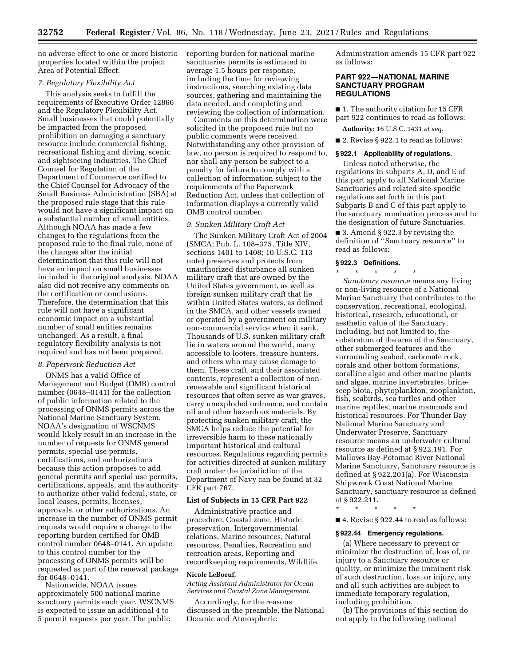no adverse effect to one or more historic properties located within the project Area of Potential Effect.

# *7. Regulatory Flexibility Act*

This analysis seeks to fulfill the requirements of Executive Order 12866 and the Regulatory Flexibility Act. Small businesses that could potentially be impacted from the proposed prohibition on damaging a sanctuary resource include commercial fishing, recreational fishing and diving, scenic and sightseeing industries. The Chief Counsel for Regulation of the Department of Commerce certified to the Chief Counsel for Advocacy of the Small Business Administration (SBA) at the proposed rule stage that this rule would not have a significant impact on a substantial number of small entities. Although NOAA has made a few changes to the regulations from the proposed rule to the final rule, none of the changes alter the initial determination that this rule will not have an impact on small businesses included in the original analysis. NOAA also did not receive any comments on the certification or conclusions. Therefore, the determination that this rule will not have a significant economic impact on a substantial number of small entities remains unchanged. As a result, a final regulatory flexibility analysis is not required and has not been prepared.

## *8. Paperwork Reduction Act*

ONMS has a valid Office of Management and Budget (OMB) control number (0648–0141) for the collection of public information related to the processing of ONMS permits across the National Marine Sanctuary System. NOAA's designation of WSCNMS would likely result in an increase in the number of requests for ONMS general permits, special use permits, certifications, and authorizations because this action proposes to add general permits and special use permits, certifications, appeals, and the authority to authorize other valid federal, state, or local leases, permits, licenses, approvals, or other authorizations. An increase in the number of ONMS permit requests would require a change to the reporting burden certified for OMB control number 0648–0141. An update to this control number for the processing of ONMS permits will be requested as part of the renewal package for 0648–0141.

Nationwide, NOAA issues approximately 500 national marine sanctuary permits each year. WSCNMS is expected to issue an additional 4 to 5 permit requests per year. The public

reporting burden for national marine sanctuaries permits is estimated to average 1.5 hours per response, including the time for reviewing instructions, searching existing data sources, gathering and maintaining the data needed, and completing and reviewing the collection of information.

Comments on this determination were solicited in the proposed rule but no public comments were received. Notwithstanding any other provision of law, no person is required to respond to, nor shall any person be subject to a penalty for failure to comply with a collection of information subject to the requirements of the Paperwork Reduction Act, unless that collection of information displays a currently valid OMB control number.

# *9. Sunken Military Craft Act*

The Sunken Military Craft Act of 2004 (SMCA; Pub. L. 108–375, Title XIV, sections 1401 to 1408; 10 U.S.C. 113 note) preserves and protects from unauthorized disturbance all sunken military craft that are owned by the United States government, as well as foreign sunken military craft that lie within United States waters, as defined in the SMCA, and other vessels owned or operated by a government on military non-commercial service when it sank. Thousands of U.S. sunken military craft lie in waters around the world, many accessible to looters, treasure hunters, and others who may cause damage to them. These craft, and their associated contents, represent a collection of nonrenewable and significant historical resources that often serve as war graves, carry unexploded ordnance, and contain oil and other hazardous materials. By protecting sunken military craft, the SMCA helps reduce the potential for irreversible harm to these nationally important historical and cultural resources. Regulations regarding permits for activities directed at sunken military craft under the jurisdiction of the Department of Navy can be found at 32 CFR part 767.

## **List of Subjects in 15 CFR Part 922**

Administrative practice and procedure, Coastal zone, Historic preservation, Intergovernmental relations, Marine resources, Natural resources, Penalties, Recreation and recreation areas, Reporting and recordkeeping requirements, Wildlife.

#### **Nicole LeBoeuf,**

*Acting Assistant Administrator for Ocean Services and Coastal Zone Management.* 

Accordingly, for the reasons discussed in the preamble, the National Oceanic and Atmospheric

Administration amends 15 CFR part 922 as follows:

## **PART 922—NATIONAL MARINE SANCTUARY PROGRAM REGULATIONS**

■ 1. The authority citation for 15 CFR part 922 continues to read as follows:

**Authority:** 16 U.S.C. 1431 *et seq.* 

■ 2. Revise § 922.1 to read as follows:

## **§ 922.1 Applicability of regulations.**

Unless noted otherwise, the regulations in subparts A, D, and E of this part apply to all National Marine Sanctuaries and related site-specific regulations set forth in this part. Subparts B and C of this part apply to the sanctuary nomination process and to the designation of future Sanctuaries.

■ 3. Amend § 922.3 by revising the definition of ''Sanctuary resource'' to read as follows:

## **§ 922.3 Definitions.**

\* \* \* \* \* *Sanctuary resource* means any living or non-living resource of a National Marine Sanctuary that contributes to the conservation, recreational, ecological, historical, research, educational, or aesthetic value of the Sanctuary, including, but not limited to, the substratum of the area of the Sanctuary, other submerged features and the surrounding seabed, carbonate rock, corals and other bottom formations, coralline algae and other marine plants and algae, marine invertebrates, brineseep biota, phytoplankton, zooplankton, fish, seabirds, sea turtles and other marine reptiles, marine mammals and historical resources. For Thunder Bay National Marine Sanctuary and Underwater Preserve, Sanctuary resource means an underwater cultural resource as defined at § 922.191. For Mallows Bay-Potomac River National Marine Sanctuary, Sanctuary resource is defined at § 922.201(a). For Wisconsin Shipwreck Coast National Marine Sanctuary, sanctuary resource is defined at § 922.211.

\* \* \* \* \*

■ 4. Revise § 922.44 to read as follows:

#### **§ 922.44 Emergency regulations.**

(a) Where necessary to prevent or minimize the destruction of, loss of, or injury to a Sanctuary resource or quality, or minimize the imminent risk of such destruction, loss, or injury, any and all such activities are subject to immediate temporary regulation, including prohibition.

(b) The provisions of this section do not apply to the following national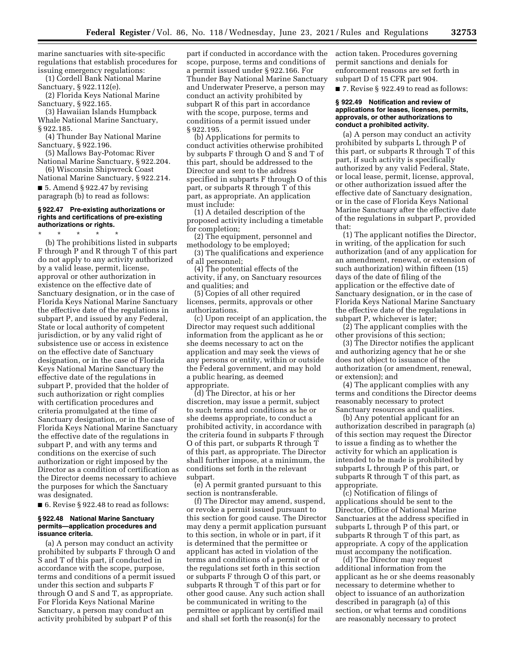marine sanctuaries with site-specific regulations that establish procedures for issuing emergency regulations:

(1) Cordell Bank National Marine Sanctuary, § 922.112(e).

(2) Florida Keys National Marine Sanctuary, § 922.165.

(3) Hawaiian Islands Humpback Whale National Marine Sanctuary, § 922.185.

(4) Thunder Bay National Marine Sanctuary, § 922.196.

(5) Mallows Bay-Potomac River National Marine Sanctuary, § 922.204.

(6) Wisconsin Shipwreck Coast National Marine Sanctuary, § 922.214.

 $\blacksquare$  5. Amend § 922.47 by revising paragraph (b) to read as follows:

### **§ 922.47 Pre-existing authorizations or rights and certifications of pre-existing authorizations or rights.**

\* \* \* \* \*

(b) The prohibitions listed in subparts F through P and R through T of this part do not apply to any activity authorized by a valid lease, permit, license, approval or other authorization in existence on the effective date of Sanctuary designation, or in the case of Florida Keys National Marine Sanctuary the effective date of the regulations in subpart P, and issued by any Federal, State or local authority of competent jurisdiction, or by any valid right of subsistence use or access in existence on the effective date of Sanctuary designation, or in the case of Florida Keys National Marine Sanctuary the effective date of the regulations in subpart P, provided that the holder of such authorization or right complies with certification procedures and criteria promulgated at the time of Sanctuary designation, or in the case of Florida Keys National Marine Sanctuary the effective date of the regulations in subpart P, and with any terms and conditions on the exercise of such authorization or right imposed by the Director as a condition of certification as the Director deems necessary to achieve the purposes for which the Sanctuary was designated.

 $\blacksquare$  6. Revise § 922.48 to read as follows:

## **§ 922.48 National Marine Sanctuary permits—application procedures and issuance criteria.**

(a) A person may conduct an activity prohibited by subparts F through O and S and T of this part, if conducted in accordance with the scope, purpose, terms and conditions of a permit issued under this section and subparts F through O and S and T, as appropriate. For Florida Keys National Marine Sanctuary, a person may conduct an activity prohibited by subpart P of this

part if conducted in accordance with the scope, purpose, terms and conditions of a permit issued under § 922.166. For Thunder Bay National Marine Sanctuary and Underwater Preserve, a person may conduct an activity prohibited by subpart R of this part in accordance with the scope, purpose, terms and conditions of a permit issued under § 922.195.

(b) Applications for permits to conduct activities otherwise prohibited by subparts F through O and S and T of this part, should be addressed to the Director and sent to the address specified in subparts F through O of this part, or subparts R through T of this part, as appropriate. An application must include:

(1) A detailed description of the proposed activity including a timetable for completion;

(2) The equipment, personnel and methodology to be employed;

(3) The qualifications and experience of all personnel;

(4) The potential effects of the activity, if any, on Sanctuary resources and qualities; and

(5) Copies of all other required licenses, permits, approvals or other authorizations.

(c) Upon receipt of an application, the Director may request such additional information from the applicant as he or she deems necessary to act on the application and may seek the views of any persons or entity, within or outside the Federal government, and may hold a public hearing, as deemed appropriate.

(d) The Director, at his or her discretion, may issue a permit, subject to such terms and conditions as he or she deems appropriate, to conduct a prohibited activity, in accordance with the criteria found in subparts F through O of this part, or subparts R through T of this part, as appropriate. The Director shall further impose, at a minimum, the conditions set forth in the relevant subpart.

(e) A permit granted pursuant to this section is nontransferable.

(f) The Director may amend, suspend, or revoke a permit issued pursuant to this section for good cause. The Director may deny a permit application pursuant to this section, in whole or in part, if it is determined that the permittee or applicant has acted in violation of the terms and conditions of a permit or of the regulations set forth in this section or subparts F through O of this part, or subparts R through T of this part or for other good cause. Any such action shall be communicated in writing to the permittee or applicant by certified mail and shall set forth the reason(s) for the

action taken. Procedures governing permit sanctions and denials for enforcement reasons are set forth in subpart D of 15 CFR part 904.

■ 7. Revise § 922.49 to read as follows:

## **§ 922.49 Notification and review of applications for leases, licenses, permits, approvals, or other authorizations to conduct a prohibited activity.**

(a) A person may conduct an activity prohibited by subparts L through P of this part, or subparts R through T of this part, if such activity is specifically authorized by any valid Federal, State, or local lease, permit, license, approval, or other authorization issued after the effective date of Sanctuary designation, or in the case of Florida Keys National Marine Sanctuary after the effective date of the regulations in subpart P, provided that:

(1) The applicant notifies the Director, in writing, of the application for such authorization (and of any application for an amendment, renewal, or extension of such authorization) within fifteen (15) days of the date of filing of the application or the effective date of Sanctuary designation, or in the case of Florida Keys National Marine Sanctuary the effective date of the regulations in subpart P, whichever is later;

(2) The applicant complies with the other provisions of this section;

(3) The Director notifies the applicant and authorizing agency that he or she does not object to issuance of the authorization (or amendment, renewal, or extension); and

(4) The applicant complies with any terms and conditions the Director deems reasonably necessary to protect Sanctuary resources and qualities.

(b) Any potential applicant for an authorization described in paragraph (a) of this section may request the Director to issue a finding as to whether the activity for which an application is intended to be made is prohibited by subparts L through P of this part, or subparts R through T of this part, as appropriate.

(c) Notification of filings of applications should be sent to the Director, Office of National Marine Sanctuaries at the address specified in subparts L through P of this part, or subparts R through T of this part, as appropriate. A copy of the application must accompany the notification.

(d) The Director may request additional information from the applicant as he or she deems reasonably necessary to determine whether to object to issuance of an authorization described in paragraph (a) of this section, or what terms and conditions are reasonably necessary to protect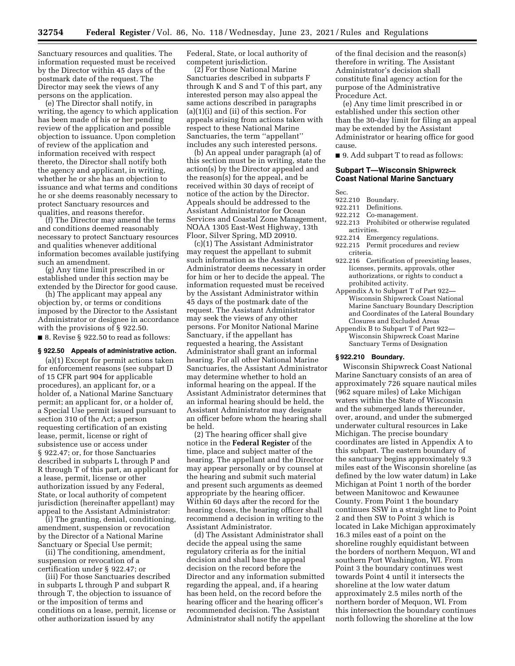Sanctuary resources and qualities. The information requested must be received by the Director within 45 days of the postmark date of the request. The Director may seek the views of any persons on the application.

(e) The Director shall notify, in writing, the agency to which application has been made of his or her pending review of the application and possible objection to issuance. Upon completion of review of the application and information received with respect thereto, the Director shall notify both the agency and applicant, in writing, whether he or she has an objection to issuance and what terms and conditions he or she deems reasonably necessary to protect Sanctuary resources and qualities, and reasons therefor.

(f) The Director may amend the terms and conditions deemed reasonably necessary to protect Sanctuary resources and qualities whenever additional information becomes available justifying such an amendment.

(g) Any time limit prescribed in or established under this section may be extended by the Director for good cause.

(h) The applicant may appeal any objection by, or terms or conditions imposed by the Director to the Assistant Administrator or designee in accordance with the provisions of § 922.50.

■ 8. Revise § 922.50 to read as follows:

## **§ 922.50 Appeals of administrative action.**

(a)(1) Except for permit actions taken for enforcement reasons (see subpart D of 15 CFR part 904 for applicable procedures), an applicant for, or a holder of, a National Marine Sanctuary permit; an applicant for, or a holder of, a Special Use permit issued pursuant to section 310 of the Act; a person requesting certification of an existing lease, permit, license or right of subsistence use or access under § 922.47; or, for those Sanctuaries described in subparts L through P and R through T of this part, an applicant for a lease, permit, license or other authorization issued by any Federal, State, or local authority of competent jurisdiction (hereinafter appellant) may appeal to the Assistant Administrator:

(i) The granting, denial, conditioning, amendment, suspension or revocation by the Director of a National Marine Sanctuary or Special Use permit;

(ii) The conditioning, amendment, suspension or revocation of a certification under § 922.47; or

(iii) For those Sanctuaries described in subparts L through P and subpart R through T, the objection to issuance of or the imposition of terms and conditions on a lease, permit, license or other authorization issued by any

Federal, State, or local authority of competent jurisdiction.

(2) For those National Marine Sanctuaries described in subparts F through K and S and T of this part, any interested person may also appeal the same actions described in paragraphs (a)(1)(i) and (ii) of this section. For appeals arising from actions taken with respect to these National Marine Sanctuaries, the term ''appellant'' includes any such interested persons.

(b) An appeal under paragraph (a) of this section must be in writing, state the action(s) by the Director appealed and the reason(s) for the appeal, and be received within 30 days of receipt of notice of the action by the Director. Appeals should be addressed to the Assistant Administrator for Ocean Services and Coastal Zone Management, NOAA 1305 East-West Highway, 13th Floor, Silver Spring, MD 20910.

(c)(1) The Assistant Administrator may request the appellant to submit such information as the Assistant Administrator deems necessary in order for him or her to decide the appeal. The information requested must be received by the Assistant Administrator within 45 days of the postmark date of the request. The Assistant Administrator may seek the views of any other persons. For Monitor National Marine Sanctuary, if the appellant has requested a hearing, the Assistant Administrator shall grant an informal hearing. For all other National Marine Sanctuaries, the Assistant Administrator may determine whether to hold an informal hearing on the appeal. If the Assistant Administrator determines that an informal hearing should be held, the Assistant Administrator may designate an officer before whom the hearing shall be held.

(2) The hearing officer shall give notice in the **Federal Register** of the time, place and subject matter of the hearing. The appellant and the Director may appear personally or by counsel at the hearing and submit such material and present such arguments as deemed appropriate by the hearing officer. Within 60 days after the record for the hearing closes, the hearing officer shall recommend a decision in writing to the Assistant Administrator.

(d) The Assistant Administrator shall decide the appeal using the same regulatory criteria as for the initial decision and shall base the appeal decision on the record before the Director and any information submitted regarding the appeal, and, if a hearing has been held, on the record before the hearing officer and the hearing officer's recommended decision. The Assistant Administrator shall notify the appellant of the final decision and the reason(s) therefore in writing. The Assistant Administrator's decision shall constitute final agency action for the purpose of the Administrative Procedure Act.

(e) Any time limit prescribed in or established under this section other than the 30-day limit for filing an appeal may be extended by the Assistant Administrator or hearing office for good cause.

■ 9. Add subpart T to read as follows:

# **Subpart T—Wisconsin Shipwreck Coast National Marine Sanctuary**

# Sec.<br>922.210

- Boundary.
- 922.211 Definitions.
- 922.212 Co-management.
- 922.213 Prohibited or otherwise regulated activities.
- 922.214 Emergency regulations.
- 922.215 Permit procedures and review criteria.
- 922.216 Certification of preexisting leases, licenses, permits, approvals, other authorizations, or rights to conduct a prohibited activity.
- Appendix A to Subpart T of Part 922— Wisconsin Shipwreck Coast National Marine Sanctuary Boundary Description and Coordinates of the Lateral Boundary Closures and Excluded Areas
- Appendix B to Subpart T of Part 922— Wisconsin Shipwreck Coast Marine Sanctuary Terms of Designation

# **§ 922.210 Boundary.**

Wisconsin Shipwreck Coast National Marine Sanctuary consists of an area of approximately 726 square nautical miles (962 square miles) of Lake Michigan waters within the State of Wisconsin and the submerged lands thereunder, over, around, and under the submerged underwater cultural resources in Lake Michigan. The precise boundary coordinates are listed in Appendix A to this subpart. The eastern boundary of the sanctuary begins approximately 9.3 miles east of the Wisconsin shoreline (as defined by the low water datum) in Lake Michigan at Point 1 north of the border between Manitowoc and Kewaunee County. From Point 1 the boundary continues SSW in a straight line to Point 2 and then SW to Point 3 which is located in Lake Michigan approximately 16.3 miles east of a point on the shoreline roughly equidistant between the borders of northern Mequon, WI and southern Port Washington, WI. From Point 3 the boundary continues west towards Point 4 until it intersects the shoreline at the low water datum approximately 2.5 miles north of the northern border of Mequon, WI. From this intersection the boundary continues north following the shoreline at the low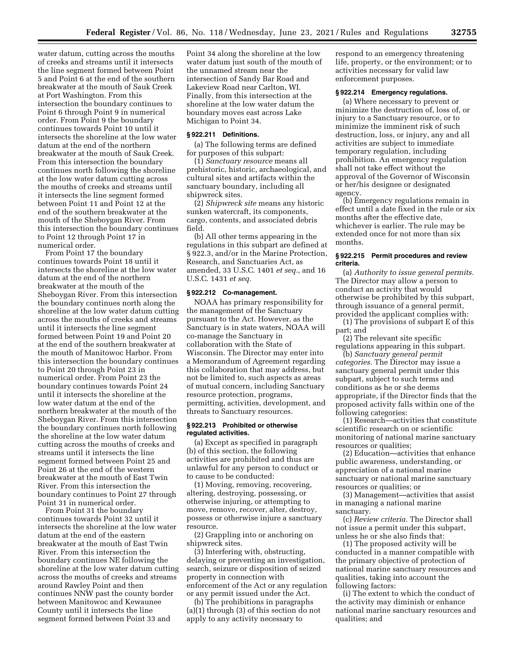water datum, cutting across the mouths of creeks and streams until it intersects the line segment formed between Point 5 and Point 6 at the end of the southern breakwater at the mouth of Sauk Creek at Port Washington. From this intersection the boundary continues to Point 6 through Point 9 in numerical order. From Point 9 the boundary continues towards Point 10 until it intersects the shoreline at the low water datum at the end of the northern breakwater at the mouth of Sauk Creek. From this intersection the boundary continues north following the shoreline at the low water datum cutting across the mouths of creeks and streams until it intersects the line segment formed between Point 11 and Point 12 at the end of the southern breakwater at the mouth of the Sheboygan River. From this intersection the boundary continues to Point 12 through Point 17 in numerical order.

From Point 17 the boundary continues towards Point 18 until it intersects the shoreline at the low water datum at the end of the northern breakwater at the mouth of the Sheboygan River. From this intersection the boundary continues north along the shoreline at the low water datum cutting across the mouths of creeks and streams until it intersects the line segment formed between Point 19 and Point 20 at the end of the southern breakwater at the mouth of Manitowoc Harbor. From this intersection the boundary continues to Point 20 through Point 23 in numerical order. From Point 23 the boundary continues towards Point 24 until it intersects the shoreline at the low water datum at the end of the northern breakwater at the mouth of the Sheboygan River. From this intersection the boundary continues north following the shoreline at the low water datum cutting across the mouths of creeks and streams until it intersects the line segment formed between Point 25 and Point 26 at the end of the western breakwater at the mouth of East Twin River. From this intersection the boundary continues to Point 27 through Point 31 in numerical order.

From Point 31 the boundary continues towards Point 32 until it intersects the shoreline at the low water datum at the end of the eastern breakwater at the mouth of East Twin River. From this intersection the boundary continues NE following the shoreline at the low water datum cutting across the mouths of creeks and streams around Rawley Point and then continues NNW past the county border between Manitowoc and Kewaunee County until it intersects the line segment formed between Point 33 and

Point 34 along the shoreline at the low water datum just south of the mouth of the unnamed stream near the intersection of Sandy Bar Road and Lakeview Road near Carlton, WI. Finally, from this intersection at the shoreline at the low water datum the boundary moves east across Lake Michigan to Point 34.

#### **§ 922.211 Definitions.**

(a) The following terms are defined for purposes of this subpart:

(1) *Sanctuary resource* means all prehistoric, historic, archaeological, and cultural sites and artifacts within the sanctuary boundary, including all shipwreck sites.

(2) *Shipwreck site* means any historic sunken watercraft, its components, cargo, contents, and associated debris field.

(b) All other terms appearing in the regulations in this subpart are defined at § 922.3, and/or in the Marine Protection, Research, and Sanctuaries Act, as amended, 33 U.S.C. 1401 *et seq.,* and 16 U.S.C. 1431 *et seq.* 

#### **§ 922.212 Co-management.**

NOAA has primary responsibility for the management of the Sanctuary pursuant to the Act. However, as the Sanctuary is in state waters, NOAA will co-manage the Sanctuary in collaboration with the State of Wisconsin. The Director may enter into a Memorandum of Agreement regarding this collaboration that may address, but not be limited to, such aspects as areas of mutual concern, including Sanctuary resource protection, programs, permitting, activities, development, and threats to Sanctuary resources.

## **§ 922.213 Prohibited or otherwise regulated activities.**

(a) Except as specified in paragraph (b) of this section, the following activities are prohibited and thus are unlawful for any person to conduct or to cause to be conducted:

(1) Moving, removing, recovering, altering, destroying, possessing, or otherwise injuring, or attempting to move, remove, recover, alter, destroy, possess or otherwise injure a sanctuary resource.

(2) Grappling into or anchoring on shipwreck sites.

(3) Interfering with, obstructing, delaying or preventing an investigation, search, seizure or disposition of seized property in connection with enforcement of the Act or any regulation or any permit issued under the Act.

(b) The prohibitions in paragraphs (a)(1) through (3) of this section do not apply to any activity necessary to

respond to an emergency threatening life, property, or the environment; or to activities necessary for valid law enforcement purposes.

## **§ 922.214 Emergency regulations.**

(a) Where necessary to prevent or minimize the destruction of, loss of, or injury to a Sanctuary resource, or to minimize the imminent risk of such destruction, loss, or injury, any and all activities are subject to immediate temporary regulation, including prohibition. An emergency regulation shall not take effect without the approval of the Governor of Wisconsin or her/his designee or designated agency.

(b) Emergency regulations remain in effect until a date fixed in the rule or six months after the effective date, whichever is earlier. The rule may be extended once for not more than six months.

## **§ 922.215 Permit procedures and review criteria.**

(a) *Authority to issue general permits.*  The Director may allow a person to conduct an activity that would otherwise be prohibited by this subpart, through issuance of a general permit, provided the applicant complies with:

(1) The provisions of subpart E of this part; and

(2) The relevant site specific regulations appearing in this subpart.

(b) *Sanctuary general permit categories.* The Director may issue a sanctuary general permit under this subpart, subject to such terms and conditions as he or she deems appropriate, if the Director finds that the proposed activity falls within one of the following categories:

(1) Research—activities that constitute scientific research on or scientific monitoring of national marine sanctuary resources or qualities;

(2) Education—activities that enhance public awareness, understanding, or appreciation of a national marine sanctuary or national marine sanctuary resources or qualities; or

(3) Management—activities that assist in managing a national marine sanctuary.

(c) *Review criteria.* The Director shall not issue a permit under this subpart, unless he or she also finds that:

(1) The proposed activity will be conducted in a manner compatible with the primary objective of protection of national marine sanctuary resources and qualities, taking into account the following factors:

(i) The extent to which the conduct of the activity may diminish or enhance national marine sanctuary resources and qualities; and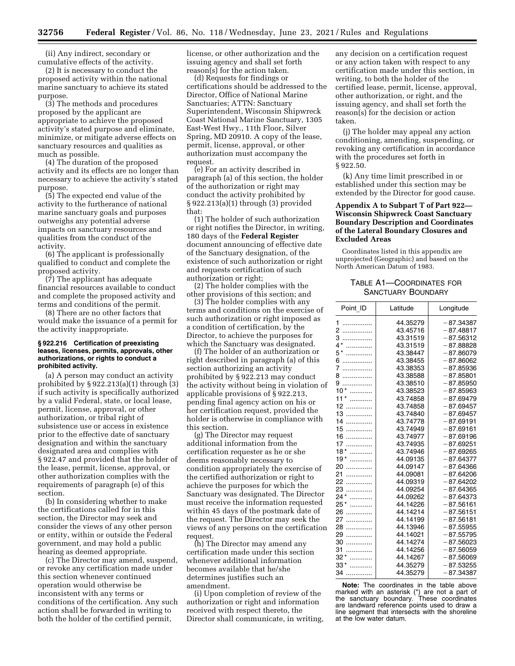(ii) Any indirect, secondary or cumulative effects of the activity.

(2) It is necessary to conduct the proposed activity within the national marine sanctuary to achieve its stated purpose.

(3) The methods and procedures proposed by the applicant are appropriate to achieve the proposed activity's stated purpose and eliminate, minimize, or mitigate adverse effects on sanctuary resources and qualities as much as possible.

(4) The duration of the proposed activity and its effects are no longer than necessary to achieve the activity's stated purpose.

(5) The expected end value of the activity to the furtherance of national marine sanctuary goals and purposes outweighs any potential adverse impacts on sanctuary resources and qualities from the conduct of the activity.

(6) The applicant is professionally qualified to conduct and complete the proposed activity.

(7) The applicant has adequate financial resources available to conduct and complete the proposed activity and terms and conditions of the permit.

(8) There are no other factors that would make the issuance of a permit for the activity inappropriate.

## **§ 922.216 Certification of preexisting leases, licenses, permits, approvals, other authorizations, or rights to conduct a prohibited activity.**

(a) A person may conduct an activity prohibited by  $\S 922.213(a)(1)$  through  $(3)$ if such activity is specifically authorized by a valid Federal, state, or local lease, permit, license, approval, or other authorization, or tribal right of subsistence use or access in existence prior to the effective date of sanctuary designation and within the sanctuary designated area and complies with § 922.47 and provided that the holder of the lease, permit, license, approval, or other authorization complies with the requirements of paragraph (e) of this section.

(b) In considering whether to make the certifications called for in this section, the Director may seek and consider the views of any other person or entity, within or outside the Federal government, and may hold a public hearing as deemed appropriate.

(c) The Director may amend, suspend, or revoke any certification made under this section whenever continued operation would otherwise be inconsistent with any terms or conditions of the certification. Any such action shall be forwarded in writing to both the holder of the certified permit,

license, or other authorization and the issuing agency and shall set forth reason(s) for the action taken.

(d) Requests for findings or certifications should be addressed to the Director, Office of National Marine Sanctuaries; ATTN: Sanctuary Superintendent, Wisconsin Shipwreck Coast National Marine Sanctuary, 1305 East-West Hwy., 11th Floor, Silver Spring, MD 20910. A copy of the lease, permit, license, approval, or other authorization must accompany the request.

(e) For an activity described in paragraph (a) of this section, the holder of the authorization or right may conduct the activity prohibited by § 922.213(a)(1) through (3) provided that:

(1) The holder of such authorization or right notifies the Director, in writing, 180 days of the **Federal Register**  document announcing of effective date of the Sanctuary designation, of the existence of such authorization or right and requests certification of such authorization or right;

(2) The holder complies with the other provisions of this section; and

(3) The holder complies with any terms and conditions on the exercise of such authorization or right imposed as a condition of certification, by the Director, to achieve the purposes for which the Sanctuary was designated.

(f) The holder of an authorization or right described in paragraph (a) of this section authorizing an activity prohibited by § 922.213 may conduct the activity without being in violation of applicable provisions of § 922.213, pending final agency action on his or her certification request, provided the holder is otherwise in compliance with this section.

(g) The Director may request additional information from the certification requester as he or she deems reasonably necessary to condition appropriately the exercise of the certified authorization or right to achieve the purposes for which the Sanctuary was designated. The Director must receive the information requested within 45 days of the postmark date of the request. The Director may seek the views of any persons on the certification request.

(h) The Director may amend any certification made under this section whenever additional information becomes available that he/she determines justifies such an amendment.

(i) Upon completion of review of the authorization or right and information received with respect thereto, the Director shall communicate, in writing,

any decision on a certification request or any action taken with respect to any certification made under this section, in writing, to both the holder of the certified lease, permit, license, approval, other authorization, or right, and the issuing agency, and shall set forth the reason(s) for the decision or action taken.

(j) The holder may appeal any action conditioning, amending, suspending, or revoking any certification in accordance with the procedures set forth in § 922.50.

(k) Any time limit prescribed in or established under this section may be extended by the Director for good cause.

# **Appendix A to Subpart T of Part 922— Wisconsin Shipwreck Coast Sanctuary Boundary Description and Coordinates of the Lateral Boundary Closures and Excluded Areas**

Coordinates listed in this appendix are unprojected (Geographic) and based on the North American Datum of 1983.

# TABLE A1—COORDINATES FOR SANCTUARY BOUNDARY

| Point ID   | Latitude | Longitude   |
|------------|----------|-------------|
| 1          | 44.35279 | $-87.34387$ |
| 2<br>.     | 43.45716 | $-87.48817$ |
| 3<br>.     | 43.31519 | $-87.56312$ |
| $4*$<br>.  | 43.31519 | $-87.88828$ |
| 5*<br>.    | 43.38447 | $-87.86079$ |
| 6<br>.     | 43.38455 | $-87.86062$ |
| 7<br>.     | 43.38353 | $-87.85936$ |
| 8<br>.     | 43.38588 | $-87.85801$ |
| 9<br>.     | 43.38510 | $-87.85950$ |
| $10*$<br>. | 43.38523 | $-87.85963$ |
| $11*$<br>. | 43.74858 | $-87.69479$ |
| 12         | 43.74858 | $-87.69457$ |
| 13<br>.    | 43.74840 | $-87.69457$ |
| 14<br>.    | 43.74778 | $-87.69191$ |
| $15$       | 43.74949 | $-87.69161$ |
| $16$       | 43.74977 | $-87.69196$ |
| $17$       | 43.74935 | $-87.69251$ |
| $18$ *     | 43.74946 | $-87.69265$ |
| $19*$<br>. | 44.09135 | $-87.64377$ |
| 20         | 44.09147 | $-87.64366$ |
| 21<br>.    | 44.09081 | $-87.64206$ |
| 22<br>.    | 44.09319 | $-87.64202$ |
| 23         | 44.09254 | $-87.64365$ |
| $24*$<br>. | 44.09262 | $-87.64373$ |
| 25*<br>.   | 44.14226 | $-87.56161$ |
| 26         | 44.14214 | $-87.56151$ |
| 27<br>.    | 44.14199 | $-87.56181$ |
| 28<br>.    | 44.13946 | $-87.55955$ |
| 29<br>.    | 44.14021 | $-87.55795$ |
| 30<br>.    | 44.14274 | $-87.56023$ |
| 31<br>.    | 44.14256 | $-87.56059$ |
| $32^*$     | 44.14267 | $-87.56069$ |
| $33*$<br>. | 44.35279 | $-87.53255$ |
| 34<br>.    | 44.35279 | $-87.34387$ |

**Note:** The coordinates in the table above marked with an asterisk (\*) are not a part of the sanctuary boundary. These coordinates are landward reference points used to draw a line segment that intersects with the shoreline at the low water datum.